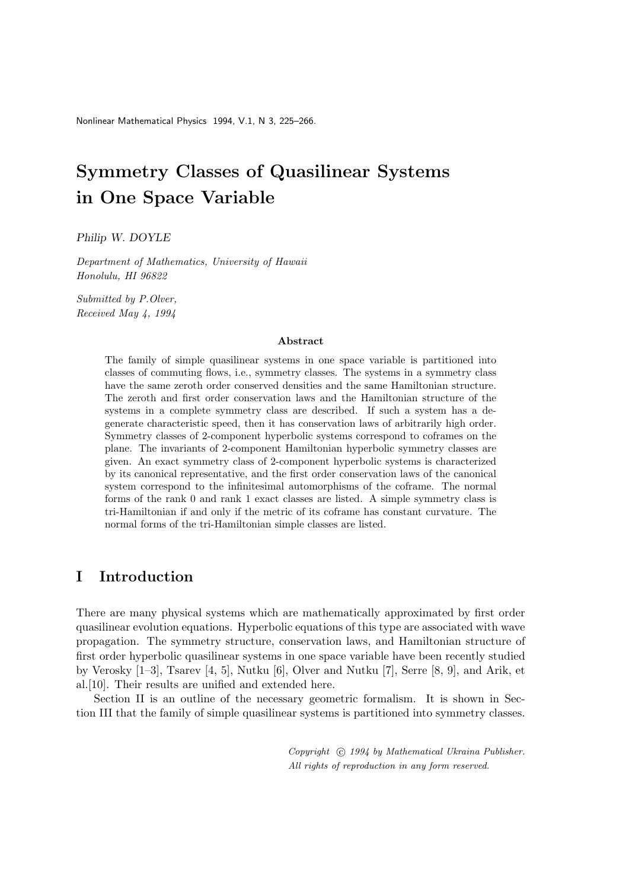Nonlinear Mathematical Physics 1994, V.1, N 3, 225–266.

# Symmetry Classes of Quasilinear Systems in One Space Variable

Philip W. DOYLE

Department of Mathematics, University of Hawaii Honolulu, HI 96822

Submitted by P.Olver, Received May 4, 1994

#### Abstract

The family of simple quasilinear systems in one space variable is partitioned into classes of commuting flows, i.e., symmetry classes. The systems in a symmetry class have the same zeroth order conserved densities and the same Hamiltonian structure. The zeroth and first order conservation laws and the Hamiltonian structure of the systems in a complete symmetry class are described. If such a system has a degenerate characteristic speed, then it has conservation laws of arbitrarily high order. Symmetry classes of 2-component hyperbolic systems correspond to coframes on the plane. The invariants of 2-component Hamiltonian hyperbolic symmetry classes are given. An exact symmetry class of 2-component hyperbolic systems is characterized by its canonical representative, and the first order conservation laws of the canonical system correspond to the infinitesimal automorphisms of the coframe. The normal forms of the rank 0 and rank 1 exact classes are listed. A simple symmetry class is tri-Hamiltonian if and only if the metric of its coframe has constant curvature. The normal forms of the tri-Hamiltonian simple classes are listed.

# I Introduction

There are many physical systems which are mathematically approximated by first order quasilinear evolution equations. Hyperbolic equations of this type are associated with wave propagation. The symmetry structure, conservation laws, and Hamiltonian structure of first order hyperbolic quasilinear systems in one space variable have been recently studied by Verosky [1–3], Tsarev [4, 5], Nutku [6], Olver and Nutku [7], Serre [8, 9], and Arik, et al.[10]. Their results are unified and extended here.

Section II is an outline of the necessary geometric formalism. It is shown in Section III that the family of simple quasilinear systems is partitioned into symmetry classes.

> Copyright  $\odot$  1994 by Mathematical Ukraina Publisher. All rights of reproduction in any form reserved.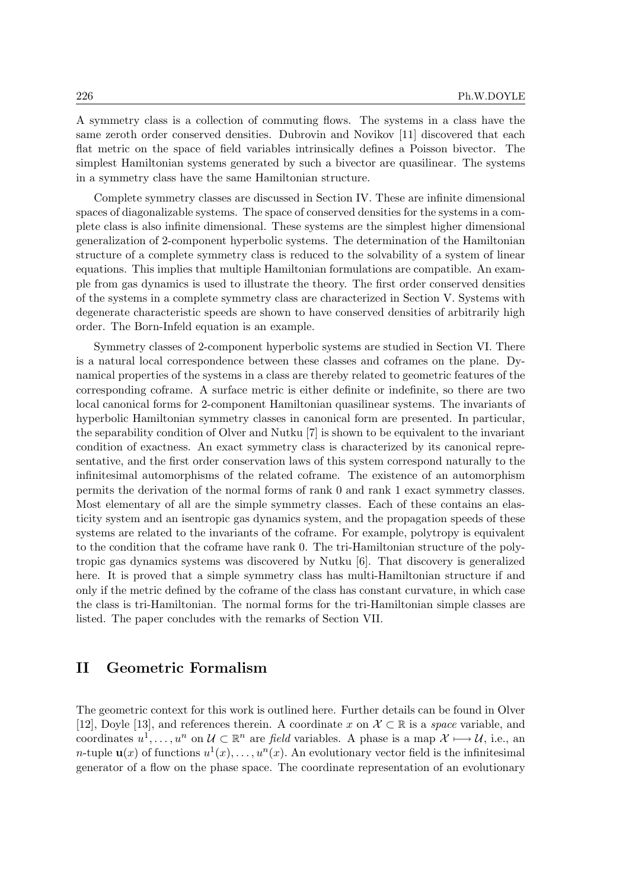A symmetry class is a collection of commuting flows. The systems in a class have the same zeroth order conserved densities. Dubrovin and Novikov [11] discovered that each flat metric on the space of field variables intrinsically defines a Poisson bivector. The simplest Hamiltonian systems generated by such a bivector are quasilinear. The systems in a symmetry class have the same Hamiltonian structure.

Complete symmetry classes are discussed in Section IV. These are infinite dimensional spaces of diagonalizable systems. The space of conserved densities for the systems in a complete class is also infinite dimensional. These systems are the simplest higher dimensional generalization of 2-component hyperbolic systems. The determination of the Hamiltonian structure of a complete symmetry class is reduced to the solvability of a system of linear equations. This implies that multiple Hamiltonian formulations are compatible. An example from gas dynamics is used to illustrate the theory. The first order conserved densities of the systems in a complete symmetry class are characterized in Section V. Systems with degenerate characteristic speeds are shown to have conserved densities of arbitrarily high order. The Born-Infeld equation is an example.

Symmetry classes of 2-component hyperbolic systems are studied in Section VI. There is a natural local correspondence between these classes and coframes on the plane. Dynamical properties of the systems in a class are thereby related to geometric features of the corresponding coframe. A surface metric is either definite or indefinite, so there are two local canonical forms for 2-component Hamiltonian quasilinear systems. The invariants of hyperbolic Hamiltonian symmetry classes in canonical form are presented. In particular, the separability condition of Olver and Nutku [7] is shown to be equivalent to the invariant condition of exactness. An exact symmetry class is characterized by its canonical representative, and the first order conservation laws of this system correspond naturally to the infinitesimal automorphisms of the related coframe. The existence of an automorphism permits the derivation of the normal forms of rank 0 and rank 1 exact symmetry classes. Most elementary of all are the simple symmetry classes. Each of these contains an elasticity system and an isentropic gas dynamics system, and the propagation speeds of these systems are related to the invariants of the coframe. For example, polytropy is equivalent to the condition that the coframe have rank 0. The tri-Hamiltonian structure of the polytropic gas dynamics systems was discovered by Nutku [6]. That discovery is generalized here. It is proved that a simple symmetry class has multi-Hamiltonian structure if and only if the metric defined by the coframe of the class has constant curvature, in which case the class is tri-Hamiltonian. The normal forms for the tri-Hamiltonian simple classes are listed. The paper concludes with the remarks of Section VII.

# II Geometric Formalism

The geometric context for this work is outlined here. Further details can be found in Olver [12], Doyle [13], and references therein. A coordinate x on  $\mathcal{X} \subset \mathbb{R}$  is a *space* variable, and coordinates  $u^1, \ldots, u^n$  on  $\mathcal{U} \subset \mathbb{R}^n$  are field variables. A phase is a map  $\mathcal{X} \longmapsto \mathcal{U}$ , i.e., an *n*-tuple  $\mathbf{u}(x)$  of functions  $u^1(x), \ldots, u^n(x)$ . An evolutionary vector field is the infinitesimal generator of a flow on the phase space. The coordinate representation of an evolutionary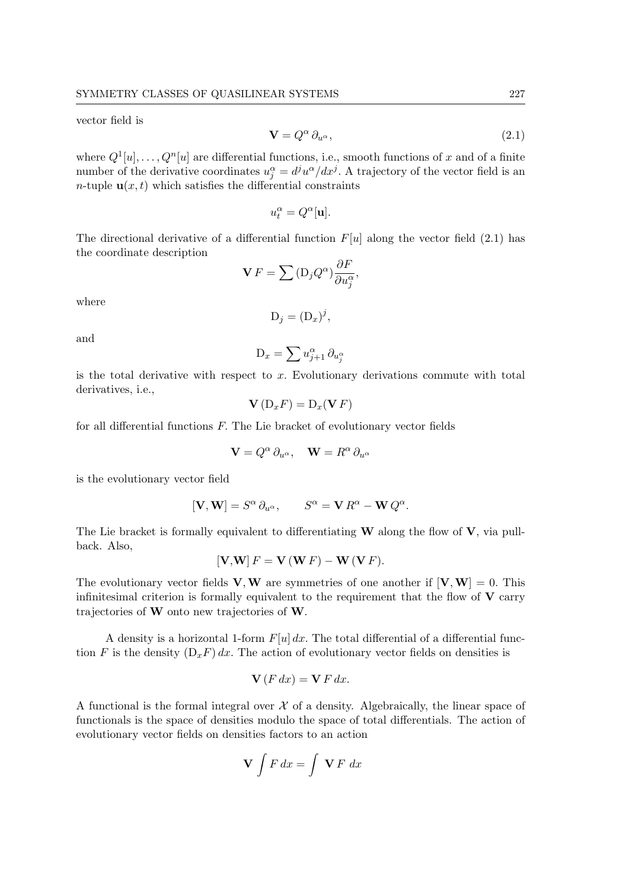vector field is

$$
\mathbf{V} = Q^{\alpha} \, \partial_{u^{\alpha}},\tag{2.1}
$$

where  $Q^1[u], \ldots, Q^n[u]$  are differential functions, i.e., smooth functions of x and of a finite number of the derivative coordinates  $u_j^{\alpha} = d^j u^{\alpha}/dx^j$ . A trajectory of the vector field is an n-tuple  $\mathbf{u}(x,t)$  which satisfies the differential constraints

$$
u_t^{\alpha}=Q^{\alpha}[\mathbf{u}].
$$

The directional derivative of a differential function  $F[u]$  along the vector field (2.1) has the coordinate description ∂F

$$
\mathbf{V} F = \sum (\mathbf{D}_j Q^{\alpha}) \frac{\partial F}{\partial u_j^{\alpha}},
$$

where

$$
D_j = (D_x)^j,
$$

and

$$
\mathcal{D}_x = \sum u_{j+1}^{\alpha} \, \partial_{u_j^{\alpha}}
$$

is the total derivative with respect to  $x$ . Evolutionary derivations commute with total derivatives, i.e.,

$$
\mathbf{V}\left(\mathbf{D}_{x}F\right)=\mathbf{D}_{x}(\mathbf{V}\,F)
$$

for all differential functions  $F$ . The Lie bracket of evolutionary vector fields

$$
\mathbf{V} = Q^{\alpha} \partial_{u^{\alpha}}, \quad \mathbf{W} = R^{\alpha} \partial_{u^{\alpha}}
$$

is the evolutionary vector field

$$
[\mathbf{V},\mathbf{W}]=S^{\alpha}\,\partial_{u^{\alpha}},\qquad S^{\alpha}=\mathbf{V}\,R^{\alpha}-\mathbf{W}\,Q^{\alpha}.
$$

The Lie bracket is formally equivalent to differentiating  $W$  along the flow of  $V$ , via pullback. Also,

$$
[\mathbf{V}, \mathbf{W}] F = \mathbf{V} (\mathbf{W} F) - \mathbf{W} (\mathbf{V} F).
$$

The evolutionary vector fields  $V, W$  are symmetries of one another if  $[V, W] = 0$ . This infinitesimal criterion is formally equivalent to the requirement that the flow of  $V$  carry trajectories of W onto new trajectories of W.

A density is a horizontal 1-form  $F[u] dx$ . The total differential of a differential function F is the density  $(D_xF) dx$ . The action of evolutionary vector fields on densities is

$$
\mathbf{V}(F\,dx) = \mathbf{V}\,F\,dx.
$$

A functional is the formal integral over  $\mathcal X$  of a density. Algebraically, the linear space of functionals is the space of densities modulo the space of total differentials. The action of evolutionary vector fields on densities factors to an action

$$
\mathbf{V} \int F dx = \int \mathbf{V} F dx
$$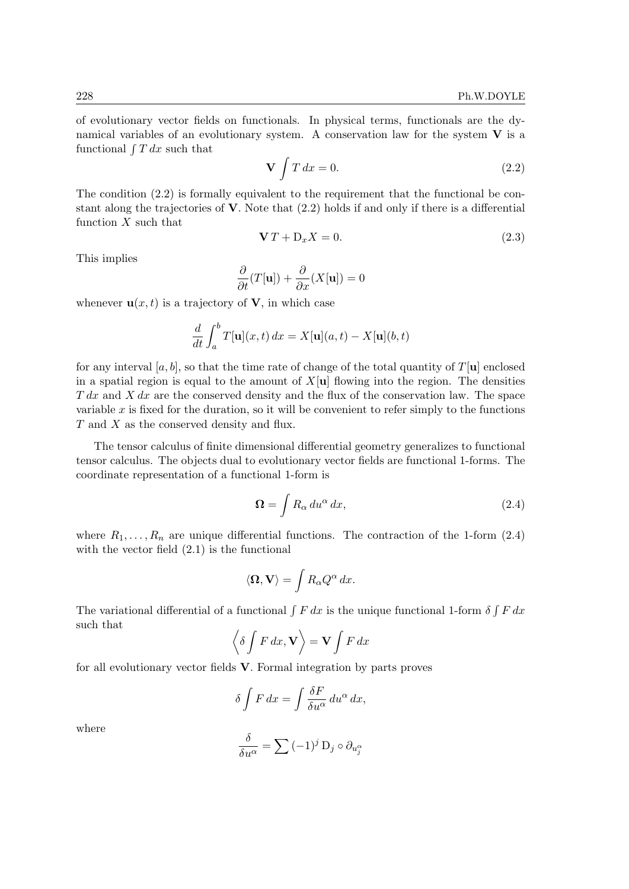of evolutionary vector fields on functionals. In physical terms, functionals are the dynamical variables of an evolutionary system. A conservation law for the system  $V$  is a functional  $\int T dx$  such that

$$
\mathbf{V} \int T \, dx = 0. \tag{2.2}
$$

The condition (2.2) is formally equivalent to the requirement that the functional be constant along the trajectories of  $\bf{V}$ . Note that (2.2) holds if and only if there is a differential function  $X$  such that

$$
\mathbf{V}T + \mathbf{D}_x X = 0. \tag{2.3}
$$

This implies

$$
\frac{\partial}{\partial t}(T[\mathbf{u}]) + \frac{\partial}{\partial x}(X[\mathbf{u}]) = 0
$$

whenever  $\mathbf{u}(x,t)$  is a trajectory of **V**, in which case

$$
\frac{d}{dt} \int_a^b T[\mathbf{u}](x,t) \, dx = X[\mathbf{u}](a,t) - X[\mathbf{u}](b,t)
$$

for any interval [a, b], so that the time rate of change of the total quantity of  $T[\mathbf{u}]$  enclosed in a spatial region is equal to the amount of  $X[\mathbf{u}]$  flowing into the region. The densities  $T dx$  and  $X dx$  are the conserved density and the flux of the conservation law. The space variable  $x$  is fixed for the duration, so it will be convenient to refer simply to the functions T and X as the conserved density and flux.

The tensor calculus of finite dimensional differential geometry generalizes to functional tensor calculus. The objects dual to evolutionary vector fields are functional 1-forms. The coordinate representation of a functional 1-form is

$$
\Omega = \int R_{\alpha} \, du^{\alpha} \, dx,\tag{2.4}
$$

where  $R_1, \ldots, R_n$  are unique differential functions. The contraction of the 1-form (2.4) with the vector field (2.1) is the functional

$$
\langle \mathbf{\Omega}, \mathbf{V} \rangle = \int R_{\alpha} Q^{\alpha} \, dx.
$$

The variational differential of a functional  $\int F dx$  is the unique functional 1-form  $\delta \int F dx$ such that

$$
\left\langle \delta \int F dx, \mathbf{V} \right\rangle = \mathbf{V} \int F dx
$$

for all evolutionary vector fields V. Formal integration by parts proves

$$
\delta \int F dx = \int \frac{\delta F}{\delta u^{\alpha}} du^{\alpha} dx,
$$

where

$$
\frac{\delta}{\delta u^{\alpha}} = \sum_{j} (-1)^{j} D_{j} \circ \partial_{u_{j}^{\alpha}}
$$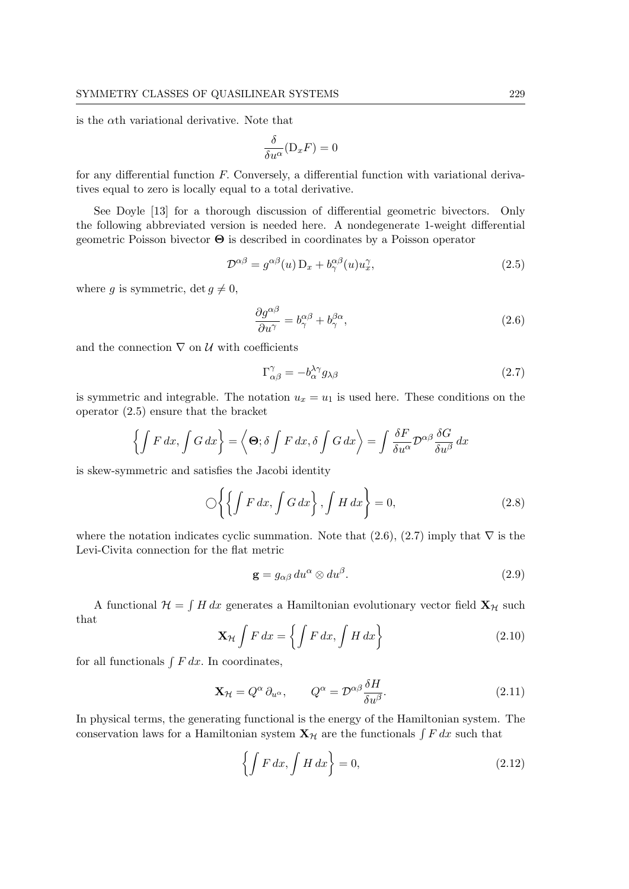is the αth variational derivative. Note that

$$
\frac{\delta}{\delta u^{\alpha}}(\mathbf{D}_{x}F)=0
$$

for any differential function  $F$ . Conversely, a differential function with variational derivatives equal to zero is locally equal to a total derivative.

See Doyle [13] for a thorough discussion of differential geometric bivectors. Only the following abbreviated version is needed here. A nondegenerate 1-weight differential geometric Poisson bivector Θ is described in coordinates by a Poisson operator

$$
\mathcal{D}^{\alpha\beta} = g^{\alpha\beta}(u) \mathcal{D}_x + b^{\alpha\beta}_\gamma(u) u_x^\gamma, \tag{2.5}
$$

where g is symmetric, det  $g \neq 0$ ,

$$
\frac{\partial g^{\alpha\beta}}{\partial u^{\gamma}} = b^{\alpha\beta}_{\gamma} + b^{\beta\alpha}_{\gamma},\tag{2.6}
$$

and the connection  $\nabla$  on  $\mathcal U$  with coefficients

$$
\Gamma^{\gamma}_{\alpha\beta} = -b^{\lambda\gamma}_{\alpha} g_{\lambda\beta} \tag{2.7}
$$

is symmetric and integrable. The notation  $u_x = u_1$  is used here. These conditions on the operator (2.5) ensure that the bracket

$$
\left\{ \int F \, dx, \int G \, dx \right\} = \left\langle \Theta; \delta \int F \, dx, \delta \int G \, dx \right\rangle = \int \frac{\delta F}{\delta u^{\alpha}} \mathcal{D}^{\alpha \beta} \frac{\delta G}{\delta u^{\beta}} \, dx
$$

is skew-symmetric and satisfies the Jacobi identity

$$
\bigcirc \left\{ \left\{ \int F \, dx, \int G \, dx \right\}, \int H \, dx \right\} = 0,\tag{2.8}
$$

where the notation indicates cyclic summation. Note that  $(2.6)$ ,  $(2.7)$  imply that  $\nabla$  is the Levi-Civita connection for the flat metric

$$
\mathbf{g} = g_{\alpha\beta} \, du^{\alpha} \otimes du^{\beta}.
$$
 (2.9)

A functional  $\mathcal{H} = \int H dx$  generates a Hamiltonian evolutionary vector field  $\mathbf{X}_{\mathcal{H}}$  such that

$$
\mathbf{X}_{\mathcal{H}} \int F dx = \left\{ \int F dx, \int H dx \right\} \tag{2.10}
$$

for all functionals  $\int F dx$ . In coordinates,

$$
\mathbf{X}_{\mathcal{H}} = Q^{\alpha} \partial_{u^{\alpha}}, \qquad Q^{\alpha} = \mathcal{D}^{\alpha \beta} \frac{\delta H}{\delta u^{\beta}}.
$$
 (2.11)

In physical terms, the generating functional is the energy of the Hamiltonian system. The conservation laws for a Hamiltonian system  $\mathbf{X}_{\mathcal{H}}$  are the functionals  $\int F dx$  such that

$$
\left\{ \int F dx, \int H dx \right\} = 0,\tag{2.12}
$$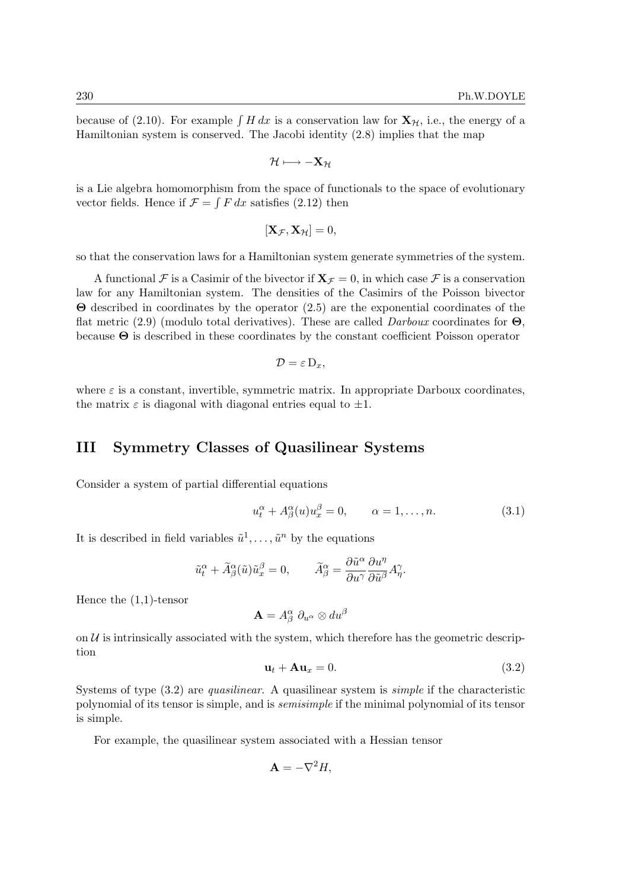because of (2.10). For example  $\int H dx$  is a conservation law for  $\mathbf{X}_{H}$ , i.e., the energy of a Hamiltonian system is conserved. The Jacobi identity (2.8) implies that the map

$$
\mathcal{H} \longmapsto -\mathbf{X}_{\mathcal{H}}
$$

is a Lie algebra homomorphism from the space of functionals to the space of evolutionary vector fields. Hence if  $\mathcal{F} = \int F dx$  satisfies (2.12) then

$$
[\mathbf{X}_{\mathcal{F}}, \mathbf{X}_{\mathcal{H}}] = 0,
$$

so that the conservation laws for a Hamiltonian system generate symmetries of the system.

A functional F is a Casimir of the bivector if  $X_{\mathcal{F}} = 0$ , in which case F is a conservation law for any Hamiltonian system. The densities of the Casimirs of the Poisson bivector Θ described in coordinates by the operator (2.5) are the exponential coordinates of the flat metric (2.9) (modulo total derivatives). These are called *Darboux* coordinates for  $\Theta$ , because Θ is described in these coordinates by the constant coefficient Poisson operator

$$
\mathcal{D}=\varepsilon\,\mathrm{D}_x,
$$

where  $\varepsilon$  is a constant, invertible, symmetric matrix. In appropriate Darboux coordinates, the matrix  $\varepsilon$  is diagonal with diagonal entries equal to  $\pm 1$ .

### III Symmetry Classes of Quasilinear Systems

Consider a system of partial differential equations

$$
u_t^{\alpha} + A_{\beta}^{\alpha}(u)u_x^{\beta} = 0, \qquad \alpha = 1, \dots, n. \tag{3.1}
$$

It is described in field variables  $\tilde{u}^1, \ldots, \tilde{u}^n$  by the equations

$$
\tilde{u}_t^{\alpha} + \tilde{A}_{\beta}^{\alpha}(\tilde{u})\tilde{u}_x^{\beta} = 0, \qquad \tilde{A}_{\beta}^{\alpha} = \frac{\partial \tilde{u}^{\alpha}}{\partial u^{\gamma}} \frac{\partial u^{\eta}}{\partial \tilde{u}^{\beta}} A_{\eta}^{\gamma}.
$$

Hence the (1,1)-tensor

$$
\mathbf{A}=A^{\alpha}_{\beta}\;\partial_{u^{\alpha}}\otimes du^{\beta}
$$

on  $U$  is intrinsically associated with the system, which therefore has the geometric description

$$
\mathbf{u}_t + \mathbf{A}\mathbf{u}_x = 0. \tag{3.2}
$$

Systems of type  $(3.2)$  are *quasilinear*. A quasilinear system is *simple* if the characteristic polynomial of its tensor is simple, and is semisimple if the minimal polynomial of its tensor is simple.

For example, the quasilinear system associated with a Hessian tensor

$$
\mathbf{A} = -\nabla^2 H,
$$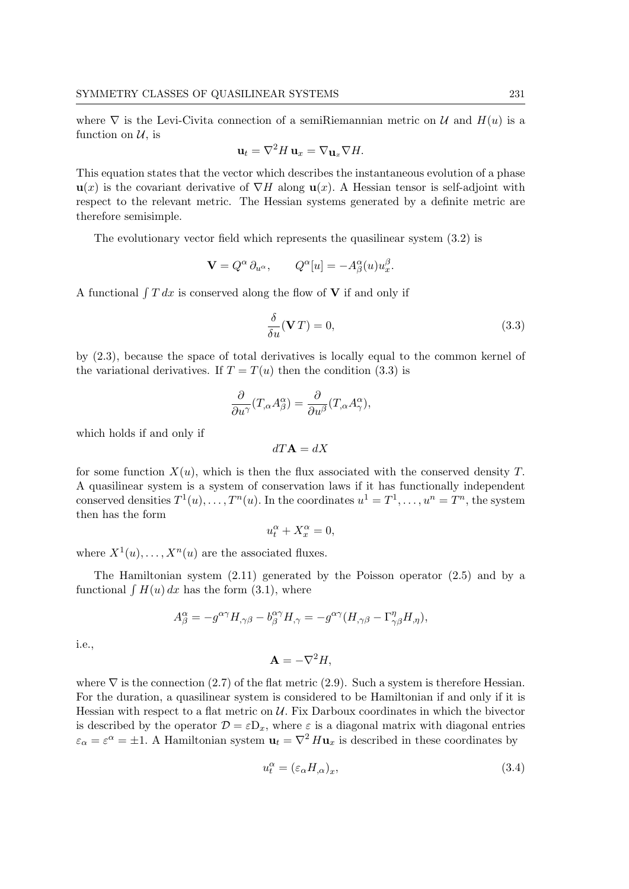where  $\nabla$  is the Levi-Civita connection of a semiRiemannian metric on U and  $H(u)$  is a function on  $\mathcal{U}$ , is

$$
\mathbf{u}_t = \nabla^2 H \, \mathbf{u}_x = \nabla \mathbf{u}_x \nabla H.
$$

This equation states that the vector which describes the instantaneous evolution of a phase  $u(x)$  is the covariant derivative of  $\nabla H$  along  $u(x)$ . A Hessian tensor is self-adjoint with respect to the relevant metric. The Hessian systems generated by a definite metric are therefore semisimple.

The evolutionary vector field which represents the quasilinear system (3.2) is

$$
\mathbf{V} = Q^{\alpha} \partial_{u^{\alpha}}, \qquad Q^{\alpha}[u] = -A^{\alpha}_{\beta}(u) u^{\beta}_{x}.
$$

A functional  $\int T dx$  is conserved along the flow of V if and only if

$$
\frac{\delta}{\delta u}(\mathbf{V}T) = 0,\tag{3.3}
$$

by (2.3), because the space of total derivatives is locally equal to the common kernel of the variational derivatives. If  $T = T(u)$  then the condition (3.3) is

$$
\frac{\partial}{\partial u^{\gamma}}(T_{,\alpha}A^{\alpha}_{\beta}) = \frac{\partial}{\partial u^{\beta}}(T_{,\alpha}A^{\alpha}_{\gamma}),
$$

which holds if and only if

$$
dT{\bf A}=dX
$$

for some function  $X(u)$ , which is then the flux associated with the conserved density T. A quasilinear system is a system of conservation laws if it has functionally independent conserved densities  $T^1(u), \ldots, T^n(u)$ . In the coordinates  $u^1 = T^1, \ldots, u^n = T^n$ , the system then has the form

$$
u_t^\alpha+X_x^\alpha=0,
$$

where  $X^1(u), \ldots, X^n(u)$  are the associated fluxes.

The Hamiltonian system (2.11) generated by the Poisson operator (2.5) and by a functional  $\int H(u) dx$  has the form (3.1), where

$$
A^{\alpha}_{\beta} = -g^{\alpha\gamma}H_{,\gamma\beta} - b^{\alpha\gamma}_{\beta}H_{,\gamma} = -g^{\alpha\gamma}(H_{,\gamma\beta} - \Gamma^{\eta}_{\gamma\beta}H_{,\eta}),
$$

i.e.,

$$
\mathbf{A} = -\nabla^2 H,
$$

where  $\nabla$  is the connection (2.7) of the flat metric (2.9). Such a system is therefore Hessian. For the duration, a quasilinear system is considered to be Hamiltonian if and only if it is Hessian with respect to a flat metric on  $\mathcal{U}$ . Fix Darboux coordinates in which the bivector is described by the operator  $\mathcal{D} = \varepsilon D_x$ , where  $\varepsilon$  is a diagonal matrix with diagonal entries  $\varepsilon_{\alpha} = \varepsilon^{\alpha} = \pm 1$ . A Hamiltonian system  $\mathbf{u}_t = \nabla^2 H \mathbf{u}_x$  is described in these coordinates by

$$
u_t^{\alpha} = (\varepsilon_{\alpha} H_{,\alpha})_x,\tag{3.4}
$$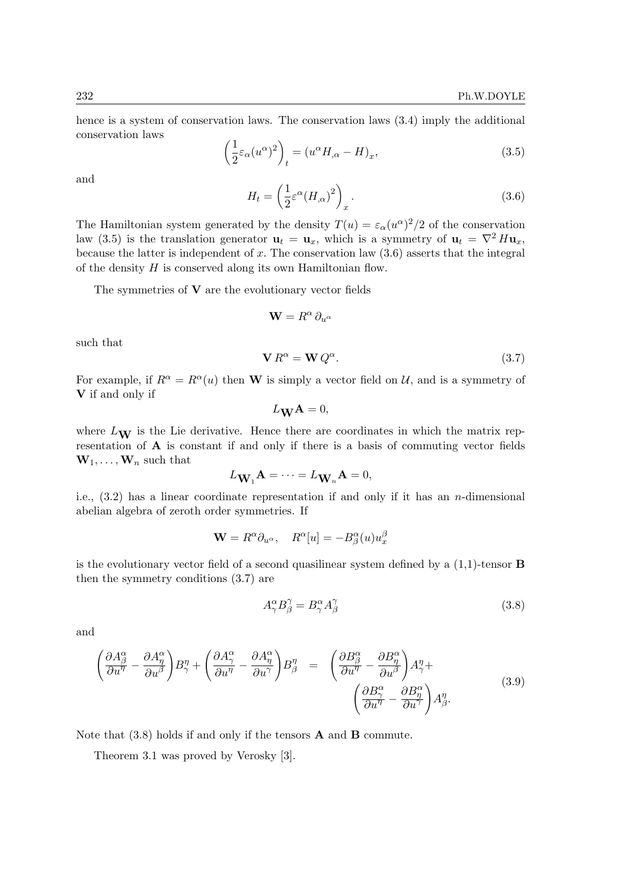hence is a system of conservation laws. The conservation laws (3.4) imply the additional conservation laws

$$
\left(\frac{1}{2}\varepsilon_{\alpha}(u^{\alpha})^2\right)_t = (u^{\alpha}H_{,\alpha} - H)_x,\tag{3.5}
$$

and

$$
H_t = \left(\frac{1}{2}\varepsilon^{\alpha}(H_{,\alpha})^2\right)_x.
$$
\n(3.6)

The Hamiltonian system generated by the density  $T(u) = \varepsilon_\alpha(u^\alpha)^2/2$  of the conservation law (3.5) is the translation generator  $\mathbf{u}_t = \mathbf{u}_x$ , which is a symmetry of  $\mathbf{u}_t = \nabla^2 H \mathbf{u}_x$ , because the latter is independent of x. The conservation law  $(3.6)$  asserts that the integral of the density  $H$  is conserved along its own Hamiltonian flow.

The symmetries of  $V$  are the evolutionary vector fields

$$
\mathbf{W}=R^\alpha\,\partial_{u^\alpha}
$$

such that

$$
\mathbf{V} \, R^{\alpha} = \mathbf{W} \, Q^{\alpha}.
$$
 (3.7)

For example, if  $R^{\alpha} = R^{\alpha}(u)$  then W is simply a vector field on U, and is a symmetry of V if and only if

$$
L_{\mathbf{W}}\mathbf{A}=0,
$$

where  $L_{\mathbf{W}}$  is the Lie derivative. Hence there are coordinates in which the matrix representation of A is constant if and only if there is a basis of commuting vector fields  $\mathbf{W}_1, \ldots, \mathbf{W}_n$  such that

$$
L_{\mathbf{W}_1} \mathbf{A} = \cdots = L_{\mathbf{W}_n} \mathbf{A} = 0,
$$

i.e.,  $(3.2)$  has a linear coordinate representation if and only if it has an *n*-dimensional abelian algebra of zeroth order symmetries. If

$$
\mathbf{W} = R^{\alpha} \partial_{u^{\alpha}}, \quad R^{\alpha}[u] = -B^{\alpha}_{\beta}(u) u^{\beta}_{x}
$$

is the evolutionary vector field of a second quasilinear system defined by a  $(1,1)$ -tensor **B** then the symmetry conditions (3.7) are

$$
A^{\alpha}_{\gamma} B^{\gamma}_{\beta} = B^{\alpha}_{\gamma} A^{\gamma}_{\beta} \tag{3.8}
$$

and

$$
\left(\frac{\partial A^{\alpha}_{\beta}}{\partial u^{\eta}} - \frac{\partial A^{\alpha}_{\eta}}{\partial u^{\beta}}\right)B^{\eta}_{\gamma} + \left(\frac{\partial A^{\alpha}_{\gamma}}{\partial u^{\eta}} - \frac{\partial A^{\alpha}_{\eta}}{\partial u^{\gamma}}\right)B^{\eta}_{\beta} = \left(\frac{\partial B^{\alpha}_{\beta}}{\partial u^{\eta}} - \frac{\partial B^{\alpha}_{\eta}}{\partial u^{\beta}}\right)A^{\eta}_{\gamma} + \left(\frac{\partial B^{\alpha}_{\gamma}}{\partial u^{\eta}} - \frac{\partial B^{\alpha}_{\eta}}{\partial u^{\gamma}}\right)A^{\eta}_{\beta}.
$$
\n(3.9)

Note that  $(3.8)$  holds if and only if the tensors **A** and **B** commute.

Theorem 3.1 was proved by Verosky [3].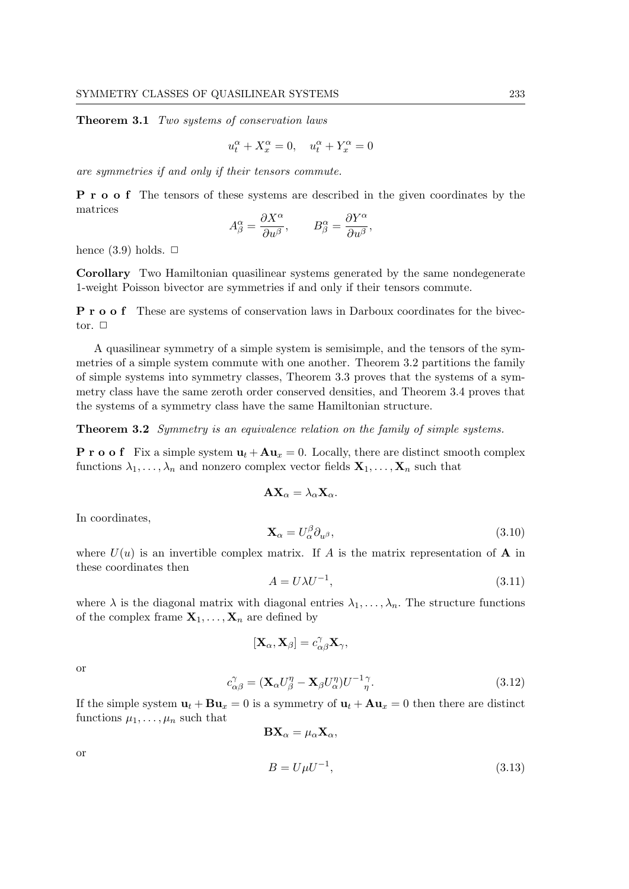Theorem 3.1 Two systems of conservation laws

$$
u_t^{\alpha} + X_x^{\alpha} = 0, \quad u_t^{\alpha} + Y_x^{\alpha} = 0
$$

are symmetries if and only if their tensors commute.

P r o o f The tensors of these systems are described in the given coordinates by the matrices

$$
A^\alpha_\beta = \frac{\partial X^\alpha}{\partial u^\beta}, \qquad B^\alpha_\beta = \frac{\partial Y^\alpha}{\partial u^\beta},
$$

hence  $(3.9)$  holds.  $\Box$ 

Corollary Two Hamiltonian quasilinear systems generated by the same nondegenerate 1-weight Poisson bivector are symmetries if and only if their tensors commute.

P r o o f These are systems of conservation laws in Darboux coordinates for the bivector.  $\Box$ 

A quasilinear symmetry of a simple system is semisimple, and the tensors of the symmetries of a simple system commute with one another. Theorem 3.2 partitions the family of simple systems into symmetry classes, Theorem 3.3 proves that the systems of a symmetry class have the same zeroth order conserved densities, and Theorem 3.4 proves that the systems of a symmetry class have the same Hamiltonian structure.

**Theorem 3.2** Symmetry is an equivalence relation on the family of simple systems.

**P** r o o f Fix a simple system  $\mathbf{u}_t + \mathbf{A}\mathbf{u}_x = 0$ . Locally, there are distinct smooth complex functions  $\lambda_1, \ldots, \lambda_n$  and nonzero complex vector fields  $\mathbf{X}_1, \ldots, \mathbf{X}_n$  such that

$$
\mathbf{A}\mathbf{X}_{\alpha}=\lambda_{\alpha}\mathbf{X}_{\alpha}.
$$

In coordinates,

$$
\mathbf{X}_{\alpha} = U_{\alpha}^{\beta} \partial_{u^{\beta}},\tag{3.10}
$$

where  $U(u)$  is an invertible complex matrix. If A is the matrix representation of A in these coordinates then

$$
A = U\lambda U^{-1},\tag{3.11}
$$

where  $\lambda$  is the diagonal matrix with diagonal entries  $\lambda_1, \ldots, \lambda_n$ . The structure functions of the complex frame  $X_1, \ldots, X_n$  are defined by

$$
[\mathbf{X}_{\alpha},\mathbf{X}_{\beta}]=c_{\alpha\beta}^{\gamma}\mathbf{X}_{\gamma},
$$

or

$$
c^{\gamma}_{\alpha\beta} = (\mathbf{X}_{\alpha}U^{\eta}_{\beta} - \mathbf{X}_{\beta}U^{\eta}_{\alpha})U^{-1}{}^{\gamma}_{\eta}.
$$
\n(3.12)

If the simple system  $\mathbf{u}_t + \mathbf{B}\mathbf{u}_x = 0$  is a symmetry of  $\mathbf{u}_t + \mathbf{A}\mathbf{u}_x = 0$  then there are distinct functions  $\mu_1, \ldots, \mu_n$  such that

$$
\mathbf{B}\mathbf{X}_{\alpha} = \mu_{\alpha}\mathbf{X}_{\alpha},
$$
  

$$
B = U\mu U^{-1},
$$
 (3.13)

or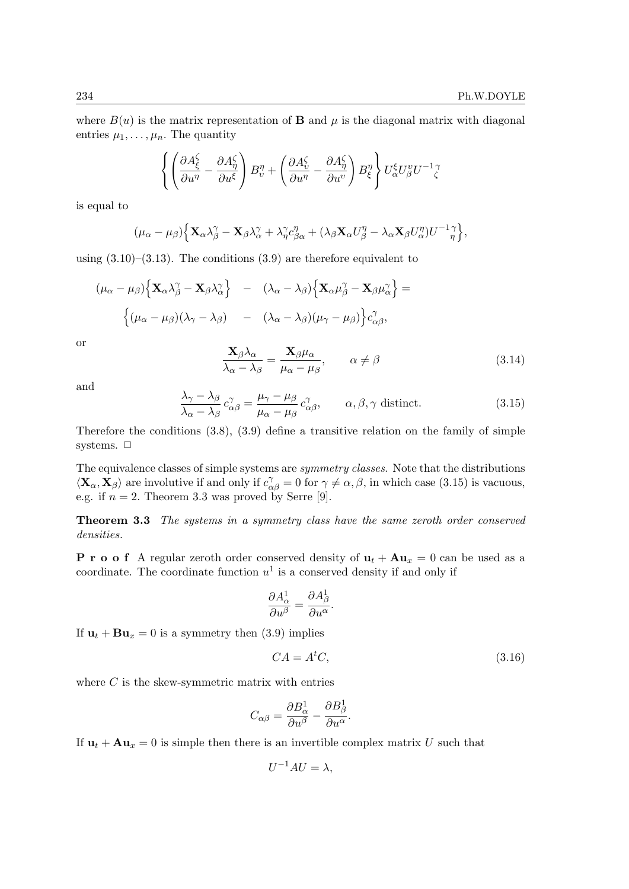where  $B(u)$  is the matrix representation of **B** and  $\mu$  is the diagonal matrix with diagonal entries  $\mu_1, \ldots, \mu_n$ . The quantity

$$
\left\{\left(\frac{\partial A_{\xi}^{\zeta}}{\partial u^{\eta}}-\frac{\partial A_{\eta}^{\zeta}}{\partial u^{\xi}}\right)B_{\upsilon}^{\eta}+\left(\frac{\partial A_{\upsilon}^{\zeta}}{\partial u^{\eta}}-\frac{\partial A_{\eta}^{\zeta}}{\partial u^{\upsilon}}\right)B_{\xi}^{\eta}\right\}U_{\alpha}^{\xi}U_{\beta}^{\upsilon}U^{-1}\zeta
$$

is equal to

$$
(\mu_{\alpha}-\mu_{\beta})\Big\{\mathbf{X}_{\alpha}\lambda_{\beta}^{\gamma}-\mathbf{X}_{\beta}\lambda_{\alpha}^{\gamma}+\lambda_{\eta}^{\gamma}c_{\beta\alpha}^{\eta}+(\lambda_{\beta}\mathbf{X}_{\alpha}U_{\beta}^{\eta}-\lambda_{\alpha}\mathbf{X}_{\beta}U_{\alpha}^{\eta})U^{-1}\frac{\gamma}{\eta}\Big\},\,
$$

using  $(3.10)$ – $(3.13)$ . The conditions  $(3.9)$  are therefore equivalent to

$$
(\mu_{\alpha} - \mu_{\beta}) \Big\{ \mathbf{X}_{\alpha} \lambda_{\beta}^{\gamma} - \mathbf{X}_{\beta} \lambda_{\alpha}^{\gamma} \Big\} - (\lambda_{\alpha} - \lambda_{\beta}) \Big\{ \mathbf{X}_{\alpha} \mu_{\beta}^{\gamma} - \mathbf{X}_{\beta} \mu_{\alpha}^{\gamma} \Big\} =
$$

$$
\Big\{ (\mu_{\alpha} - \mu_{\beta}) (\lambda_{\gamma} - \lambda_{\beta}) - (\lambda_{\alpha} - \lambda_{\beta}) (\mu_{\gamma} - \mu_{\beta}) \Big\} c_{\alpha \beta}^{\gamma},
$$

or

$$
\frac{\mathbf{X}_{\beta}\lambda_{\alpha}}{\lambda_{\alpha}-\lambda_{\beta}} = \frac{\mathbf{X}_{\beta}\mu_{\alpha}}{\mu_{\alpha}-\mu_{\beta}}, \qquad \alpha \neq \beta \tag{3.14}
$$

and

$$
\frac{\lambda_{\gamma} - \lambda_{\beta}}{\lambda_{\alpha} - \lambda_{\beta}} c^{\gamma}_{\alpha\beta} = \frac{\mu_{\gamma} - \mu_{\beta}}{\mu_{\alpha} - \mu_{\beta}} c^{\gamma}_{\alpha\beta}, \qquad \alpha, \beta, \gamma \text{ distinct.}
$$
\n(3.15)

Therefore the conditions (3.8), (3.9) define a transitive relation on the family of simple systems.  $\Box$ 

The equivalence classes of simple systems are symmetry classes. Note that the distributions  $\langle \mathbf{X}_{\alpha}, \mathbf{X}_{\beta} \rangle$  are involutive if and only if  $c_{\alpha\beta}^{\gamma} = 0$  for  $\gamma \neq \alpha, \beta$ , in which case (3.15) is vacuous, e.g. if  $n = 2$ . Theorem 3.3 was proved by Serre [9].

Theorem 3.3 The systems in a symmetry class have the same zeroth order conserved densities.

**P** r **o o** f A regular zeroth order conserved density of  $\mathbf{u}_t + \mathbf{A}\mathbf{u}_x = 0$  can be used as a coordinate. The coordinate function  $u^1$  is a conserved density if and only if

$$
\frac{\partial A^1_{\alpha}}{\partial u^{\beta}} = \frac{\partial A^1_{\beta}}{\partial u^{\alpha}}.
$$

If  $\mathbf{u}_t + \mathbf{B} \mathbf{u}_x = 0$  is a symmetry then (3.9) implies

$$
CA = AtC,
$$
\n(3.16)

where  $C$  is the skew-symmetric matrix with entries

$$
C_{\alpha\beta}=\frac{\partial B^1_{\alpha}}{\partial u^{\beta}}-\frac{\partial B^1_{\beta}}{\partial u^{\alpha}}.
$$

If  $\mathbf{u}_t + \mathbf{A}\mathbf{u}_x = 0$  is simple then there is an invertible complex matrix U such that

$$
U^{-1}AU = \lambda,
$$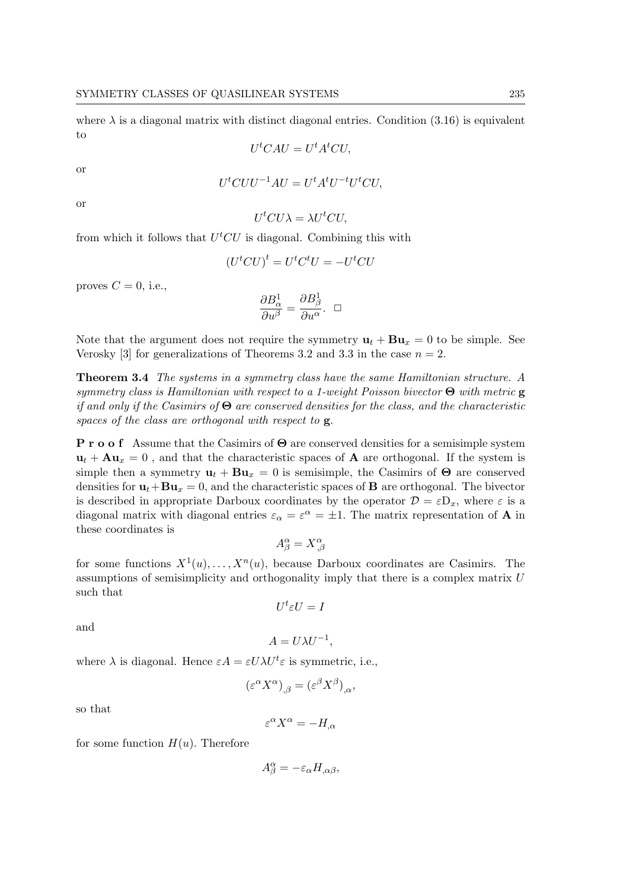where  $\lambda$  is a diagonal matrix with distinct diagonal entries. Condition (3.16) is equivalent to

$$
U^tCAU = U^tA^tCU,
$$

or

$$
UtCUU-1AU = UtAtU-tUtCU,
$$

or

$$
U^tCU\lambda = \lambda U^tCU,
$$

from which it follows that  $U<sup>t</sup>CU$  is diagonal. Combining this with

$$
(U^tCU)^t = U^tC^tU = -U^tCU
$$

proves  $C = 0$ , i.e.,

$$
\frac{\partial B^1_{\alpha}}{\partial u^{\beta}} = \frac{\partial B^1_{\beta}}{\partial u^{\alpha}}. \quad \Box
$$

Note that the argument does not require the symmetry  $\mathbf{u}_t + \mathbf{B}\mathbf{u}_x = 0$  to be simple. See Verosky [3] for generalizations of Theorems 3.2 and 3.3 in the case  $n = 2$ .

Theorem 3.4 The systems in a symmetry class have the same Hamiltonian structure. A symmetry class is Hamiltonian with respect to a 1-weight Poisson bivector  $\Theta$  with metric  $g$ if and only if the Casimirs of  $\Theta$  are conserved densities for the class, and the characteristic spaces of the class are orthogonal with respect to **g**.

P r o o f Assume that the Casimirs of Θ are conserved densities for a semisimple system  $u_t + Au_x = 0$ , and that the characteristic spaces of **A** are orthogonal. If the system is simple then a symmetry  $\mathbf{u}_t + \mathbf{B}\mathbf{u}_x = 0$  is semisimple, the Casimirs of  $\Theta$  are conserved densities for  $\mathbf{u}_t + \mathbf{B}\mathbf{u}_x = 0$ , and the characteristic spaces of **B** are orthogonal. The bivector is described in appropriate Darboux coordinates by the operator  $\mathcal{D} = \varepsilon D_x$ , where  $\varepsilon$  is a diagonal matrix with diagonal entries  $\varepsilon_{\alpha} = \varepsilon^{\alpha} = \pm 1$ . The matrix representation of **A** in these coordinates is

$$
A^{\alpha}_{\beta}=X^{\alpha}_{\ ,\beta}
$$

for some functions  $X^1(u), \ldots, X^n(u)$ , because Darboux coordinates are Casimirs. The assumptions of semisimplicity and orthogonality imply that there is a complex matrix U such that

$$
U^t\varepsilon U=I
$$

and

$$
A = U\lambda U^{-1},
$$

where  $\lambda$  is diagonal. Hence  $\varepsilon A = \varepsilon U \lambda U^t \varepsilon$  is symmetric, i.e.,

$$
(\varepsilon^{\alpha} X^{\alpha})_{,\beta} = (\varepsilon^{\beta} X^{\beta})_{,\alpha},
$$

so that

$$
\varepsilon^{\alpha} X^{\alpha} = -H_{,\alpha}
$$

for some function  $H(u)$ . Therefore

$$
A^{\alpha}_{\beta} = -\varepsilon_{\alpha} H_{,\alpha\beta},
$$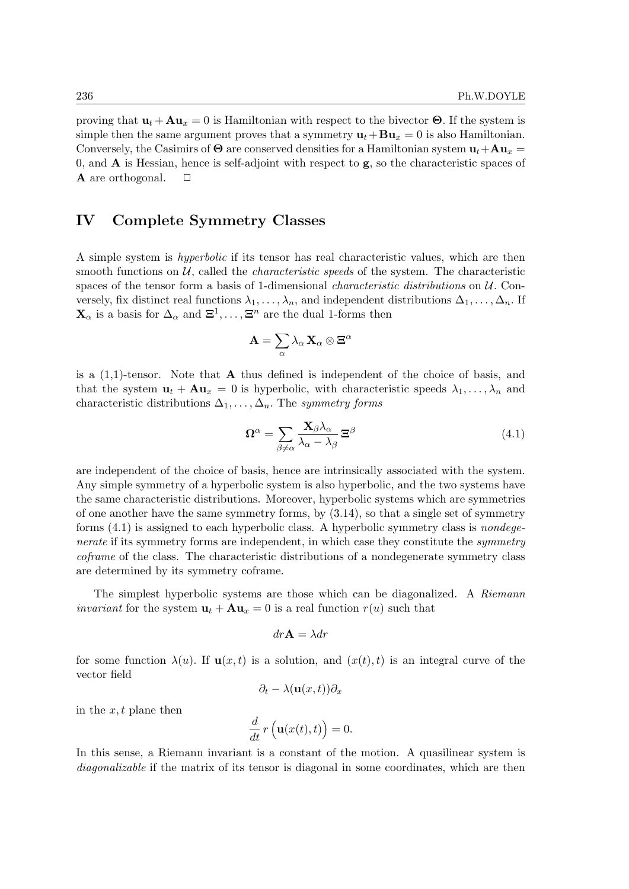proving that  $\mathbf{u}_t + \mathbf{A}\mathbf{u}_x = 0$  is Hamiltonian with respect to the bivector  $\Theta$ . If the system is simple then the same argument proves that a symmetry  $\mathbf{u}_t + \mathbf{B} \mathbf{u}_x = 0$  is also Hamiltonian. Conversely, the Casimirs of  $\Theta$  are conserved densities for a Hamiltonian system  $\mathbf{u}_t + \mathbf{A}\mathbf{u}_x =$ 0, and  $\bf{A}$  is Hessian, hence is self-adjoint with respect to  $\bf{g}$ , so the characteristic spaces of A are orthogonal.

# IV Complete Symmetry Classes

A simple system is hyperbolic if its tensor has real characteristic values, which are then smooth functions on  $U$ , called the *characteristic speeds* of the system. The characteristic spaces of the tensor form a basis of 1-dimensional *characteristic distributions* on  $U$ . Conversely, fix distinct real functions  $\lambda_1, \ldots, \lambda_n$ , and independent distributions  $\Delta_1, \ldots, \Delta_n$ . If  $\mathbf{X}_{\alpha}$  is a basis for  $\Delta_{\alpha}$  and  $\mathbf{\Xi}^1, \ldots, \mathbf{\Xi}^n$  are the dual 1-forms then

$$
\mathbf{A}=\sum_{\alpha}\lambda_{\alpha}\,\mathbf{X}_{\alpha}\otimes\mathbf{\Xi}^{\alpha}
$$

is a  $(1,1)$ -tensor. Note that **A** thus defined is independent of the choice of basis, and that the system  $\mathbf{u}_t + \mathbf{A}\mathbf{u}_x = 0$  is hyperbolic, with characteristic speeds  $\lambda_1, \ldots, \lambda_n$  and characteristic distributions  $\Delta_1, \ldots, \Delta_n$ . The symmetry forms

$$
\Omega^{\alpha} = \sum_{\beta \neq \alpha} \frac{\mathbf{X}_{\beta} \lambda_{\alpha}}{\lambda_{\alpha} - \lambda_{\beta}} \Xi^{\beta}
$$
(4.1)

are independent of the choice of basis, hence are intrinsically associated with the system. Any simple symmetry of a hyperbolic system is also hyperbolic, and the two systems have the same characteristic distributions. Moreover, hyperbolic systems which are symmetries of one another have the same symmetry forms, by (3.14), so that a single set of symmetry forms (4.1) is assigned to each hyperbolic class. A hyperbolic symmetry class is nondegenerate if its symmetry forms are independent, in which case they constitute the *symmetry* coframe of the class. The characteristic distributions of a nondegenerate symmetry class are determined by its symmetry coframe.

The simplest hyperbolic systems are those which can be diagonalized. A Riemann *invariant* for the system  $\mathbf{u}_t + \mathbf{A}\mathbf{u}_x = 0$  is a real function  $r(u)$  such that

$$
dr\mathbf{A} = \lambda dr
$$

for some function  $\lambda(u)$ . If  $\mathbf{u}(x,t)$  is a solution, and  $(x(t), t)$  is an integral curve of the vector field

$$
\partial_t - \lambda(\mathbf{u}(x,t))\partial_x
$$

in the  $x, t$  plane then

$$
\frac{d}{dt}r\left(\mathbf{u}(x(t),t)\right) = 0.
$$

In this sense, a Riemann invariant is a constant of the motion. A quasilinear system is diagonalizable if the matrix of its tensor is diagonal in some coordinates, which are then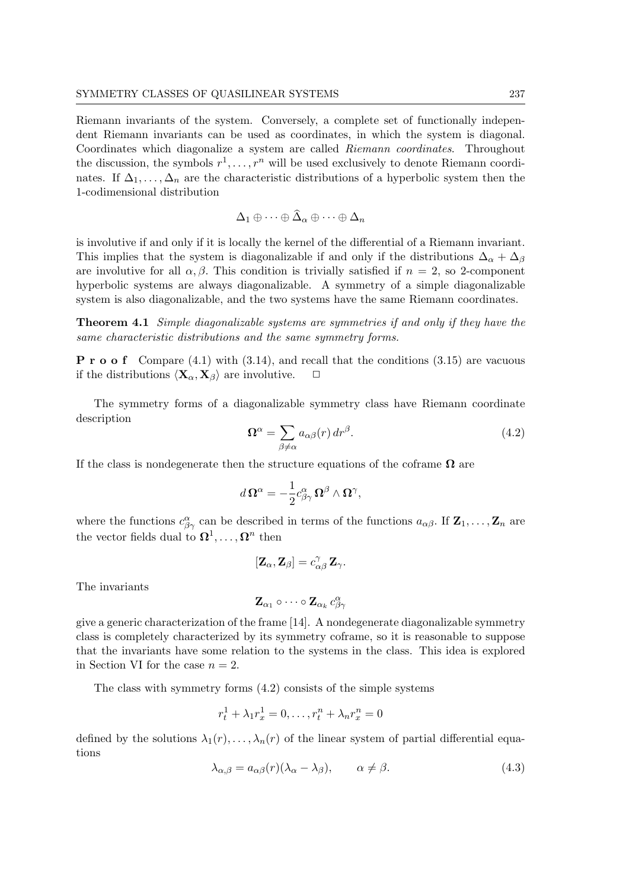Riemann invariants of the system. Conversely, a complete set of functionally independent Riemann invariants can be used as coordinates, in which the system is diagonal. Coordinates which diagonalize a system are called Riemann coordinates. Throughout the discussion, the symbols  $r^1, \ldots, r^n$  will be used exclusively to denote Riemann coordinates. If  $\Delta_1, \ldots, \Delta_n$  are the characteristic distributions of a hyperbolic system then the 1-codimensional distribution

$$
\Delta_1 \oplus \cdots \oplus \widehat{\Delta}_\alpha \oplus \cdots \oplus \Delta_n
$$

is involutive if and only if it is locally the kernel of the differential of a Riemann invariant. This implies that the system is diagonalizable if and only if the distributions  $\Delta_{\alpha} + \Delta_{\beta}$ are involutive for all  $\alpha, \beta$ . This condition is trivially satisfied if  $n = 2$ , so 2-component hyperbolic systems are always diagonalizable. A symmetry of a simple diagonalizable system is also diagonalizable, and the two systems have the same Riemann coordinates.

Theorem 4.1 Simple diagonalizable systems are symmetries if and only if they have the same characteristic distributions and the same symmetry forms.

**P** r **o o** f Compare (4.1) with (3.14), and recall that the conditions (3.15) are vacuous if the distributions  $\langle \mathbf{X}_{\alpha}, \mathbf{X}_{\beta} \rangle$  are involutive.  $\Box$ 

The symmetry forms of a diagonalizable symmetry class have Riemann coordinate description

$$
\Omega^{\alpha} = \sum_{\beta \neq \alpha} a_{\alpha\beta}(r) dr^{\beta}.
$$
\n(4.2)

If the class is nondegenerate then the structure equations of the coframe  $\Omega$  are

$$
d\,\Omega^{\alpha}=-\frac{1}{2}c^{\alpha}_{\beta\gamma}\,\Omega^{\beta}\wedge\Omega^{\gamma},
$$

where the functions  $c_{\beta\gamma}^{\alpha}$  can be described in terms of the functions  $a_{\alpha\beta}$ . If  $\mathbf{Z}_1, \ldots, \mathbf{Z}_n$  are the vector fields dual to  $\Omega^1, \ldots, \Omega^n$  then

$$
[\mathbf{Z}_{\alpha},\mathbf{Z}_{\beta}]=c_{\alpha\beta}^{\gamma}\,\mathbf{Z}_{\gamma}.
$$

The invariants

$$
\mathbf{Z}_{\alpha_1} \circ \cdots \circ \mathbf{Z}_{\alpha_k} \, c^{\alpha}_{\beta \gamma}
$$

give a generic characterization of the frame [14]. A nondegenerate diagonalizable symmetry class is completely characterized by its symmetry coframe, so it is reasonable to suppose that the invariants have some relation to the systems in the class. This idea is explored in Section VI for the case  $n = 2$ .

The class with symmetry forms (4.2) consists of the simple systems

$$
r_t^1 + \lambda_1 r_x^1 = 0, \dots, r_t^n + \lambda_n r_x^n = 0
$$

defined by the solutions  $\lambda_1(r), \ldots, \lambda_n(r)$  of the linear system of partial differential equations

$$
\lambda_{\alpha,\beta} = a_{\alpha\beta}(r)(\lambda_{\alpha} - \lambda_{\beta}), \qquad \alpha \neq \beta. \tag{4.3}
$$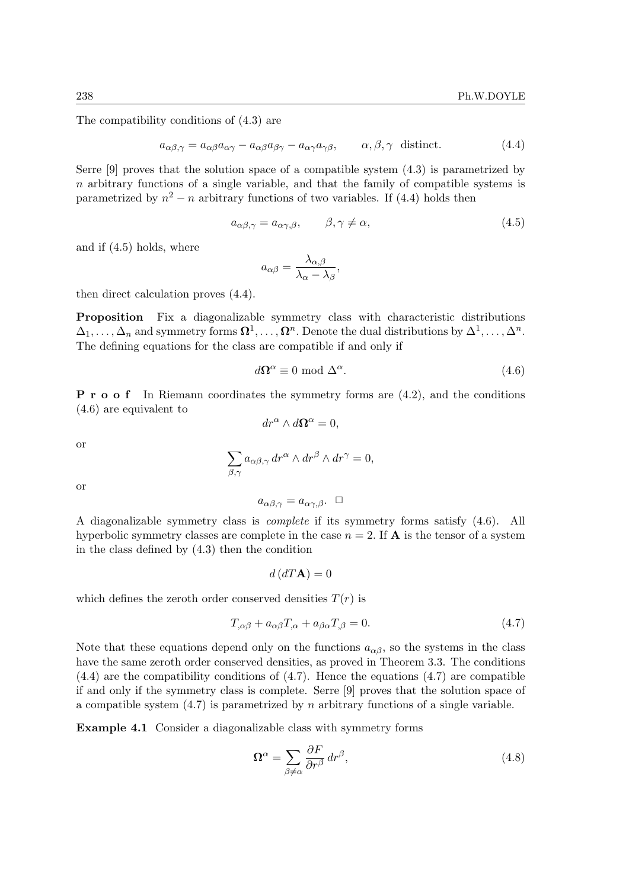The compatibility conditions of (4.3) are

$$
a_{\alpha\beta,\gamma} = a_{\alpha\beta}a_{\alpha\gamma} - a_{\alpha\beta}a_{\beta\gamma} - a_{\alpha\gamma}a_{\gamma\beta}, \qquad \alpha, \beta, \gamma \text{ distinct.} \tag{4.4}
$$

Serre [9] proves that the solution space of a compatible system (4.3) is parametrized by  $n$  arbitrary functions of a single variable, and that the family of compatible systems is parametrized by  $n^2 - n$  arbitrary functions of two variables. If (4.4) holds then

$$
a_{\alpha\beta,\gamma} = a_{\alpha\gamma,\beta}, \qquad \beta,\gamma \neq \alpha,\tag{4.5}
$$

and if (4.5) holds, where

$$
a_{\alpha\beta} = \frac{\lambda_{\alpha,\beta}}{\lambda_{\alpha} - \lambda_{\beta}},
$$

then direct calculation proves (4.4).

Proposition Fix a diagonalizable symmetry class with characteristic distributions  $\Delta_1,\ldots,\Delta_n$  and symmetry forms  $\mathbf{\Omega}^1,\ldots,\mathbf{\Omega}^n$ . Denote the dual distributions by  $\Delta^1,\ldots,\Delta^n$ . The defining equations for the class are compatible if and only if

$$
d\Omega^{\alpha} \equiv 0 \text{ mod } \Delta^{\alpha}.
$$
 (4.6)

P r o o f In Riemann coordinates the symmetry forms are (4.2), and the conditions (4.6) are equivalent to

$$
dr^{\alpha} \wedge d\Omega^{\alpha} = 0,
$$

or

$$
\sum_{\beta,\gamma} a_{\alpha\beta,\gamma} \, dr^{\alpha} \wedge dr^{\beta} \wedge dr^{\gamma} = 0,
$$

or

$$
a_{\alpha\beta,\gamma} = a_{\alpha\gamma,\beta}. \quad \Box
$$

A diagonalizable symmetry class is complete if its symmetry forms satisfy (4.6). All hyperbolic symmetry classes are complete in the case  $n = 2$ . If **A** is the tensor of a system in the class defined by (4.3) then the condition

 $d(dT{\bf A})=0$ 

which defines the zeroth order conserved densities  $T(r)$  is

$$
T_{,\alpha\beta} + a_{\alpha\beta}T_{,\alpha} + a_{\beta\alpha}T_{,\beta} = 0. \tag{4.7}
$$

Note that these equations depend only on the functions  $a_{\alpha\beta}$ , so the systems in the class have the same zeroth order conserved densities, as proved in Theorem 3.3. The conditions (4.4) are the compatibility conditions of (4.7). Hence the equations (4.7) are compatible if and only if the symmetry class is complete. Serre [9] proves that the solution space of a compatible system  $(4.7)$  is parametrized by n arbitrary functions of a single variable.

Example 4.1 Consider a diagonalizable class with symmetry forms

$$
\Omega^{\alpha} = \sum_{\beta \neq \alpha} \frac{\partial F}{\partial r^{\beta}} dr^{\beta},\tag{4.8}
$$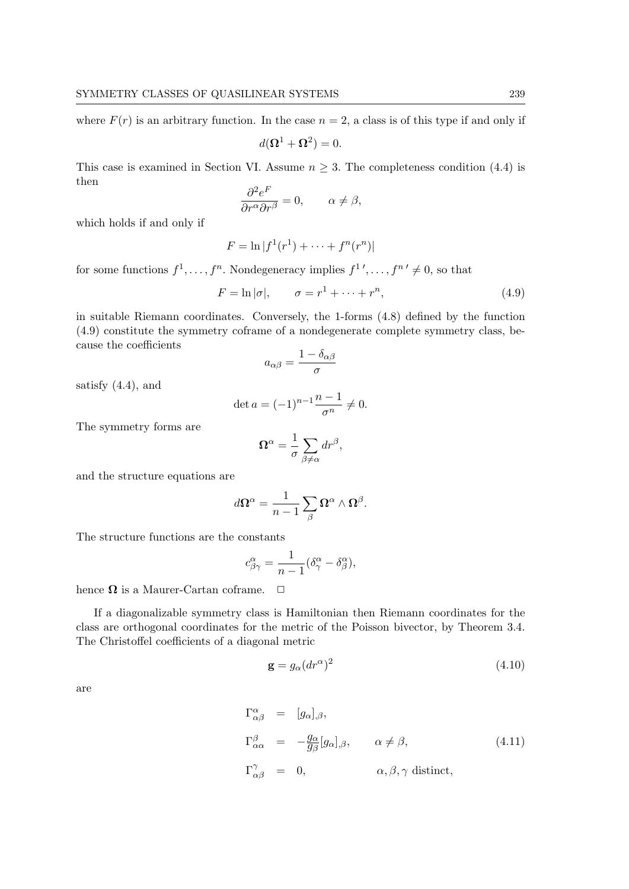where  $F(r)$  is an arbitrary function. In the case  $n = 2$ , a class is of this type if and only if

$$
d(\mathbf{\Omega}^1 + \mathbf{\Omega}^2) = 0.
$$

This case is examined in Section VI. Assume  $n \geq 3$ . The completeness condition (4.4) is then

$$
\frac{\partial^2 e^F}{\partial r^{\alpha} \partial r^{\beta}} = 0, \qquad \alpha \neq \beta,
$$

which holds if and only if

$$
F = \ln |f^1(r^1) + \dots + f^n(r^n)|
$$

for some functions  $f^1, \ldots, f^n$ . Nondegeneracy implies  $f^1', \ldots, f^{n'} \neq 0$ , so that

$$
F = \ln|\sigma|, \qquad \sigma = r^1 + \dots + r^n, \tag{4.9}
$$

in suitable Riemann coordinates. Conversely, the 1-forms (4.8) defined by the function (4.9) constitute the symmetry coframe of a nondegenerate complete symmetry class, because the coefficients

$$
a_{\alpha\beta} = \frac{1 - \delta_{\alpha\beta}}{\sigma}
$$

satisfy (4.4), and

$$
\det a = (-1)^{n-1} \frac{n-1}{\sigma^n} \neq 0.
$$

The symmetry forms are

$$
\Omega^{\alpha} = \frac{1}{\sigma} \sum_{\beta \neq \alpha} dr^{\beta},
$$

and the structure equations are

$$
d\mathbf{\Omega}^{\alpha} = \frac{1}{n-1} \sum_{\beta} \mathbf{\Omega}^{\alpha} \wedge \mathbf{\Omega}^{\beta}.
$$

The structure functions are the constants

$$
c^{\alpha}_{\beta\gamma} = \frac{1}{n-1} (\delta^{\alpha}_{\gamma} - \delta^{\alpha}_{\beta}),
$$

hence  $\Omega$  is a Maurer-Cartan coframe.  $\Box$ 

If a diagonalizable symmetry class is Hamiltonian then Riemann coordinates for the class are orthogonal coordinates for the metric of the Poisson bivector, by Theorem 3.4. The Christoffel coefficients of a diagonal metric

$$
\mathbf{g} = g_{\alpha} (dr^{\alpha})^2 \tag{4.10}
$$

are

$$
\Gamma^{\alpha}_{\alpha\beta} = [g_{\alpha}]_{,\beta},
$$
  
\n
$$
\Gamma^{\beta}_{\alpha\alpha} = -\frac{g_{\alpha}}{g_{\beta}}[g_{\alpha}]_{,\beta}, \qquad \alpha \neq \beta,
$$
  
\n
$$
\Gamma^{\gamma}_{\alpha\beta} = 0, \qquad \alpha, \beta, \gamma \text{ distinct},
$$
\n(4.11)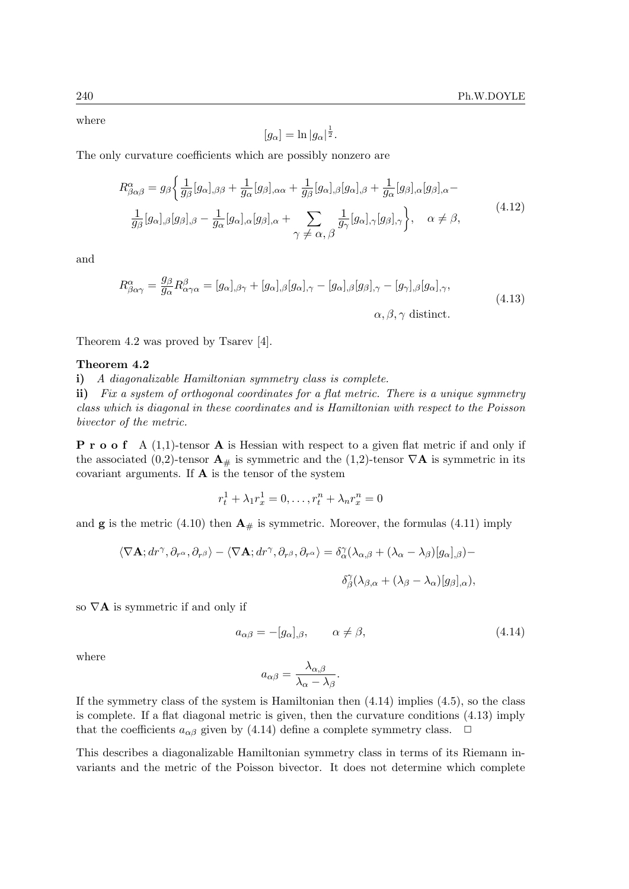where

$$
[g_{\alpha}] = \ln |g_{\alpha}|^{\frac{1}{2}}.
$$

The only curvature coefficients which are possibly nonzero are

$$
R^{\alpha}_{\beta\alpha\beta} = g_{\beta} \left\{ \frac{1}{g_{\beta}} [g_{\alpha}]_{,\beta\beta} + \frac{1}{g_{\alpha}} [g_{\beta}]_{,\alpha\alpha} + \frac{1}{g_{\beta}} [g_{\alpha}]_{,\beta} [g_{\alpha}]_{,\beta} + \frac{1}{g_{\alpha}} [g_{\beta}]_{,\alpha} [g_{\beta}]_{,\alpha} - \frac{1}{g_{\beta}} [g_{\alpha}]_{,\beta} [g_{\beta}]_{,\beta} - \frac{1}{g_{\alpha}} [g_{\alpha}]_{,\alpha} [g_{\beta}]_{,\alpha} + \sum_{\gamma \neq \alpha, \beta} \frac{1}{g_{\gamma}} [g_{\alpha}]_{,\gamma} [g_{\beta}]_{,\gamma} \right\}, \quad \alpha \neq \beta,
$$
\n(4.12)

and

$$
R^{\alpha}_{\beta\alpha\gamma} = \frac{g_{\beta}}{g_{\alpha}} R^{\beta}_{\alpha\gamma\alpha} = [g_{\alpha}]_{,\beta\gamma} + [g_{\alpha}]_{,\beta} [g_{\alpha}]_{,\gamma} - [g_{\alpha}]_{,\beta} [g_{\beta}]_{,\gamma} - [g_{\gamma}]_{,\beta} [g_{\alpha}]_{,\gamma},
$$
  
\n
$$
\alpha, \beta, \gamma \text{ distinct.}
$$
\n(4.13)

Theorem 4.2 was proved by Tsarev [4].

### Theorem 4.2

i) A diagonalizable Hamiltonian symmetry class is complete.

ii) Fix a system of orthogonal coordinates for a flat metric. There is a unique symmetry class which is diagonal in these coordinates and is Hamiltonian with respect to the Poisson bivector of the metric.

**P** r o o f A  $(1,1)$ -tensor **A** is Hessian with respect to a given flat metric if and only if the associated (0,2)-tensor  $\mathbf{A}_{\#}$  is symmetric and the (1,2)-tensor  $\nabla \mathbf{A}$  is symmetric in its covariant arguments. If  $\bf{A}$  is the tensor of the system

$$
r_t^1 + \lambda_1 r_x^1 = 0, \dots, r_t^n + \lambda_n r_x^n = 0
$$

and **g** is the metric (4.10) then  $\mathbf{A}_{\#}$  is symmetric. Moreover, the formulas (4.11) imply

$$
\langle \nabla \mathbf{A}; dr^{\gamma}, \partial_{r^{\alpha}}, \partial_{r^{\beta}} \rangle - \langle \nabla \mathbf{A}; dr^{\gamma}, \partial_{r^{\beta}}, \partial_{r^{\alpha}} \rangle = \delta^{\gamma}_{\alpha} (\lambda_{\alpha, \beta} + (\lambda_{\alpha} - \lambda_{\beta}) [g_{\alpha}],_{\beta}) -
$$

$$
\delta^{\gamma}_{\beta} (\lambda_{\beta, \alpha} + (\lambda_{\beta} - \lambda_{\alpha}) [g_{\beta}],_{\alpha}),
$$

so  $\nabla$ **A** is symmetric if and only if

$$
a_{\alpha\beta} = -[g_{\alpha}], \qquad \alpha \neq \beta,
$$
\n(4.14)

where

$$
a_{\alpha\beta} = \frac{\lambda_{\alpha,\beta}}{\lambda_{\alpha} - \lambda_{\beta}}.
$$

If the symmetry class of the system is Hamiltonian then  $(4.14)$  implies  $(4.5)$ , so the class is complete. If a flat diagonal metric is given, then the curvature conditions (4.13) imply that the coefficients  $a_{\alpha\beta}$  given by (4.14) define a complete symmetry class.  $\Box$ 

This describes a diagonalizable Hamiltonian symmetry class in terms of its Riemann invariants and the metric of the Poisson bivector. It does not determine which complete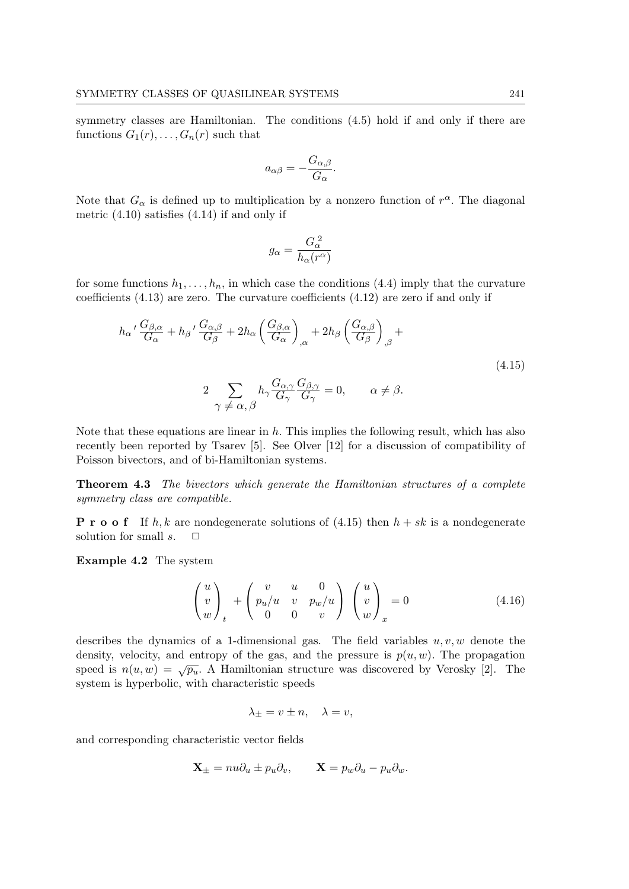symmetry classes are Hamiltonian. The conditions  $(4.5)$  hold if and only if there are functions  $G_1(r), \ldots, G_n(r)$  such that

$$
a_{\alpha\beta} = -\frac{G_{\alpha,\beta}}{G_{\alpha}}.
$$

Note that  $G_{\alpha}$  is defined up to multiplication by a nonzero function of  $r^{\alpha}$ . The diagonal metric  $(4.10)$  satisfies  $(4.14)$  if and only if

$$
g_{\alpha} = \frac{G_{\alpha}^2}{h_{\alpha}(r^{\alpha})}
$$

for some functions  $h_1, \ldots, h_n$ , in which case the conditions (4.4) imply that the curvature coefficients (4.13) are zero. The curvature coefficients (4.12) are zero if and only if

$$
h_{\alpha} \prime \frac{G_{\beta,\alpha}}{G_{\alpha}} + h_{\beta} \prime \frac{G_{\alpha,\beta}}{G_{\beta}} + 2h_{\alpha} \left(\frac{G_{\beta,\alpha}}{G_{\alpha}}\right)_{,\alpha} + 2h_{\beta} \left(\frac{G_{\alpha,\beta}}{G_{\beta}}\right)_{,\beta} +
$$
  

$$
2 \sum_{\gamma \neq \alpha, \beta} h_{\gamma} \frac{G_{\alpha,\gamma}}{G_{\gamma}} \frac{G_{\beta,\gamma}}{G_{\gamma}} = 0, \qquad \alpha \neq \beta.
$$
 (4.15)

Note that these equations are linear in  $h$ . This implies the following result, which has also recently been reported by Tsarev [5]. See Olver [12] for a discussion of compatibility of Poisson bivectors, and of bi-Hamiltonian systems.

Theorem 4.3 The bivectors which generate the Hamiltonian structures of a complete symmetry class are compatible.

**P** r **o o** f If h, k are nondegenerate solutions of  $(4.15)$  then  $h + sk$  is a nondegenerate solution for small  $s$ .  $\Box$ 

Example 4.2 The system

$$
\begin{pmatrix} u \\ v \\ w \end{pmatrix}_{t} + \begin{pmatrix} v & u & 0 \\ p_u/u & v & p_w/u \\ 0 & 0 & v \end{pmatrix} \begin{pmatrix} u \\ v \\ w \end{pmatrix}_{x} = 0 \qquad (4.16)
$$

describes the dynamics of a 1-dimensional gas. The field variables  $u, v, w$  denote the density, velocity, and entropy of the gas, and the pressure is  $p(u, w)$ . The propagation speed is  $n(u, w) = \sqrt{p_u}$ . A Hamiltonian structure was discovered by Verosky [2]. The system is hyperbolic, with characteristic speeds

$$
\lambda_{\pm} = v \pm n, \quad \lambda = v,
$$

and corresponding characteristic vector fields

$$
\mathbf{X}_{\pm} = nu\partial_u \pm p_u \partial_v, \qquad \mathbf{X} = p_w \partial_u - p_u \partial_w.
$$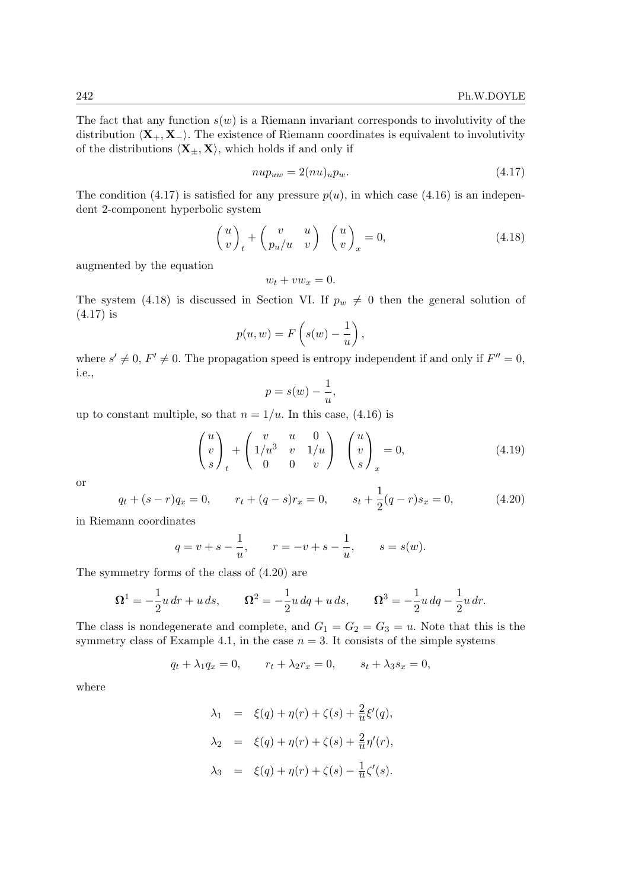The fact that any function  $s(w)$  is a Riemann invariant corresponds to involutivity of the distribution  $\langle X_+, X_-\rangle$ . The existence of Riemann coordinates is equivalent to involutivity of the distributions  $\langle \mathbf{X}_{\pm}, \mathbf{X} \rangle$ , which holds if and only if

$$
nup_{uw} = 2(nu)_u p_w. \tag{4.17}
$$

The condition (4.17) is satisfied for any pressure  $p(u)$ , in which case (4.16) is an independent 2-component hyperbolic system

$$
\begin{pmatrix} u \\ v \end{pmatrix}_t + \begin{pmatrix} v & u \\ p_u/u & v \end{pmatrix} \begin{pmatrix} u \\ v \end{pmatrix}_x = 0, \tag{4.18}
$$

augmented by the equation

 $w_t + v w_x = 0.$ 

The system (4.18) is discussed in Section VI. If  $p_w \neq 0$  then the general solution of (4.17) is

$$
p(u, w) = F\left(s(w) - \frac{1}{u}\right),\,
$$

where  $s' \neq 0$ ,  $F' \neq 0$ . The propagation speed is entropy independent if and only if  $F'' = 0$ , i.e.,

$$
p = s(w) - \frac{1}{u},
$$

up to constant multiple, so that  $n = 1/u$ . In this case, (4.16) is

$$
\begin{pmatrix} u \\ v \\ s \end{pmatrix}_t + \begin{pmatrix} v & u & 0 \\ 1/u^3 & v & 1/u \\ 0 & 0 & v \end{pmatrix} \begin{pmatrix} u \\ v \\ s \end{pmatrix}_x = 0, \tag{4.19}
$$

or

$$
q_t + (s - r)q_x = 0, \qquad r_t + (q - s)r_x = 0, \qquad s_t + \frac{1}{2}(q - r)s_x = 0,
$$
\n(4.20)

in Riemann coordinates

$$
q = v + s - \frac{1}{u},
$$
  $r = -v + s - \frac{1}{u},$   $s = s(w).$ 

The symmetry forms of the class of (4.20) are

$$
\Omega^1 = -\frac{1}{2}u\,dr + u\,ds, \qquad \Omega^2 = -\frac{1}{2}u\,dq + u\,ds, \qquad \Omega^3 = -\frac{1}{2}u\,dq - \frac{1}{2}u\,dr.
$$

The class is nondegenerate and complete, and  $G_1 = G_2 = G_3 = u$ . Note that this is the symmetry class of Example 4.1, in the case  $n = 3$ . It consists of the simple systems

$$
q_t + \lambda_1 q_x = 0, \qquad r_t + \lambda_2 r_x = 0, \qquad s_t + \lambda_3 s_x = 0,
$$

where

$$
\lambda_1 = \xi(q) + \eta(r) + \zeta(s) + \frac{2}{u}\xi'(q),
$$
  
\n
$$
\lambda_2 = \xi(q) + \eta(r) + \zeta(s) + \frac{2}{u}\eta'(r),
$$
  
\n
$$
\lambda_3 = \xi(q) + \eta(r) + \zeta(s) - \frac{1}{u}\zeta'(s).
$$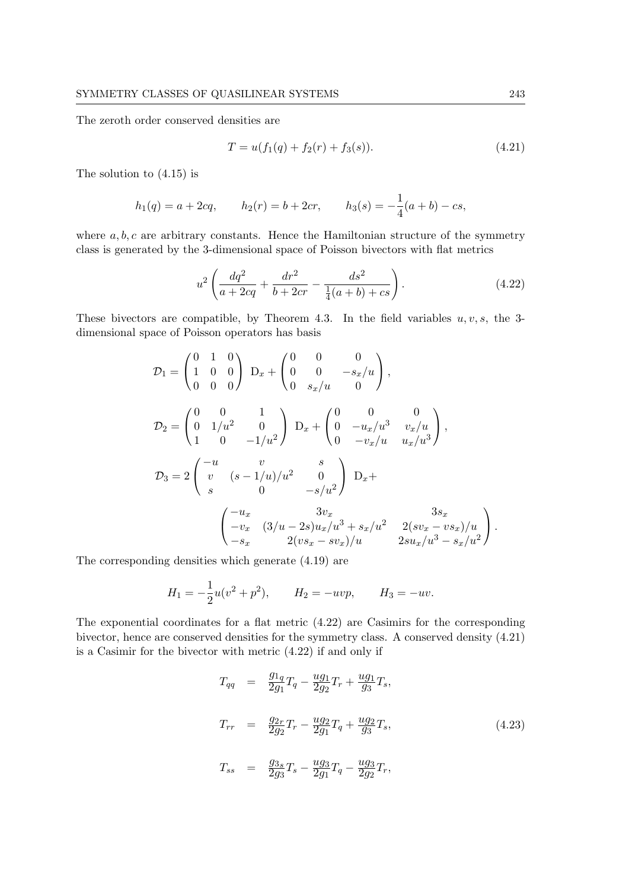The zeroth order conserved densities are

$$
T = u(f_1(q) + f_2(r) + f_3(s)).
$$
\n(4.21)

The solution to (4.15) is

$$
h_1(q) = a + 2cq
$$
,  $h_2(r) = b + 2cr$ ,  $h_3(s) = -\frac{1}{4}(a+b) - cs$ ,

where  $a, b, c$  are arbitrary constants. Hence the Hamiltonian structure of the symmetry class is generated by the 3-dimensional space of Poisson bivectors with flat metrics

$$
u^2 \left( \frac{dq^2}{a + 2cq} + \frac{dr^2}{b + 2cr} - \frac{ds^2}{\frac{1}{4}(a+b) + cs} \right). \tag{4.22}
$$

These bivectors are compatible, by Theorem 4.3. In the field variables  $u, v, s$ , the 3dimensional space of Poisson operators has basis

$$
\mathcal{D}_1 = \begin{pmatrix} 0 & 1 & 0 \\ 1 & 0 & 0 \\ 0 & 0 & 0 \end{pmatrix} \mathbf{D}_x + \begin{pmatrix} 0 & 0 & 0 \\ 0 & 0 & -s_x/u \\ 0 & s_x/u & 0 \end{pmatrix},
$$
  
\n
$$
\mathcal{D}_2 = \begin{pmatrix} 0 & 0 & 1 \\ 0 & 1/u^2 & 0 \\ 1 & 0 & -1/u^2 \end{pmatrix} \mathbf{D}_x + \begin{pmatrix} 0 & 0 & 0 \\ 0 & -u_x/u^3 & v_x/u \\ 0 & -v_x/u & u_x/u^3 \end{pmatrix},
$$
  
\n
$$
\mathcal{D}_3 = 2 \begin{pmatrix} -u & v & s \\ v & (s - 1/u)/u^2 & 0 \\ s & 0 & -s/u^2 \end{pmatrix} \mathbf{D}_x + \begin{pmatrix} -u_x & 3v_x & 3s_x \\ -v_x & (3/u - 2s)u_x/u^3 + s_x/u^2 & 2(sv_x - vs_x)/u \\ -s_x & 2(vs_x - sv_x)/u & 2su_x/u^3 - s_x/u^2 \end{pmatrix}.
$$

The corresponding densities which generate (4.19) are

$$
H_1 = -\frac{1}{2}u(v^2 + p^2), \qquad H_2 = -uvp, \qquad H_3 = -uv.
$$

The exponential coordinates for a flat metric (4.22) are Casimirs for the corresponding bivector, hence are conserved densities for the symmetry class. A conserved density (4.21) is a Casimir for the bivector with metric (4.22) if and only if

$$
T_{qq} = \frac{g_{1q}}{2g_1} T_q - \frac{ug_1}{2g_2} T_r + \frac{ug_1}{g_3} T_s,
$$
  
\n
$$
T_{rr} = \frac{g_{2r}}{2g_2} T_r - \frac{ug_2}{2g_1} T_q + \frac{ug_2}{g_3} T_s,
$$
  
\n
$$
T_{ss} = \frac{g_{3s}}{2g_3} T_s - \frac{ug_3}{2g_1} T_q - \frac{ug_3}{2g_2} T_r,
$$
\n(4.23)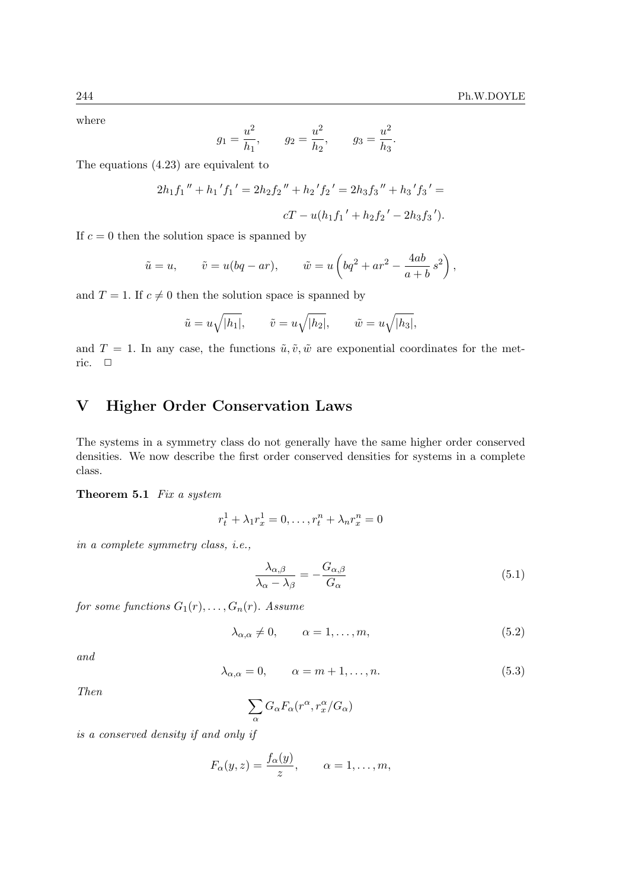where

$$
g_1 = \frac{u^2}{h_1}
$$
,  $g_2 = \frac{u^2}{h_2}$ ,  $g_3 = \frac{u^2}{h_3}$ .

The equations (4.23) are equivalent to

$$
2h_1f_1'' + h_1'f_1' = 2h_2f_2'' + h_2'f_2' = 2h_3f_3'' + h_3'f_3' =
$$
  

$$
cT - u(h_1f_1' + h_2f_2' - 2h_3f_3').
$$

If  $c = 0$  then the solution space is spanned by

$$
\tilde{u} = u,
$$
\n $\tilde{v} = u(bq - ar),$ \n $\tilde{w} = u\left(bq^2 + ar^2 - \frac{4ab}{a+b}s^2\right),$ 

and  $T = 1$ . If  $c \neq 0$  then the solution space is spanned by

$$
\tilde{u} = u\sqrt{|h_1|}, \qquad \tilde{v} = u\sqrt{|h_2|}, \qquad \tilde{w} = u\sqrt{|h_3|},
$$

and  $T = 1$ . In any case, the functions  $\tilde{u}, \tilde{v}, \tilde{w}$  are exponential coordinates for the metric.  $\square$ 

# V Higher Order Conservation Laws

The systems in a symmetry class do not generally have the same higher order conserved densities. We now describe the first order conserved densities for systems in a complete class.

### Theorem 5.1 Fix a system

$$
r_t^1 + \lambda_1 r_x^1 = 0, \dots, r_t^n + \lambda_n r_x^n = 0
$$

in a complete symmetry class, i.e.,

$$
\frac{\lambda_{\alpha,\beta}}{\lambda_{\alpha} - \lambda_{\beta}} = -\frac{G_{\alpha,\beta}}{G_{\alpha}}
$$
\n(5.1)

for some functions  $G_1(r), \ldots, G_n(r)$ . Assume

$$
\lambda_{\alpha,\alpha} \neq 0, \qquad \alpha = 1, \dots, m,\tag{5.2}
$$

and

$$
\lambda_{\alpha,\alpha} = 0, \qquad \alpha = m+1, \dots, n. \tag{5.3}
$$

Then

$$
\sum_\alpha G_\alpha F_\alpha(r^\alpha,r^\alpha_x/G_\alpha)
$$

is a conserved density if and only if

$$
F_{\alpha}(y, z) = \frac{f_{\alpha}(y)}{z}, \qquad \alpha = 1, \ldots, m,
$$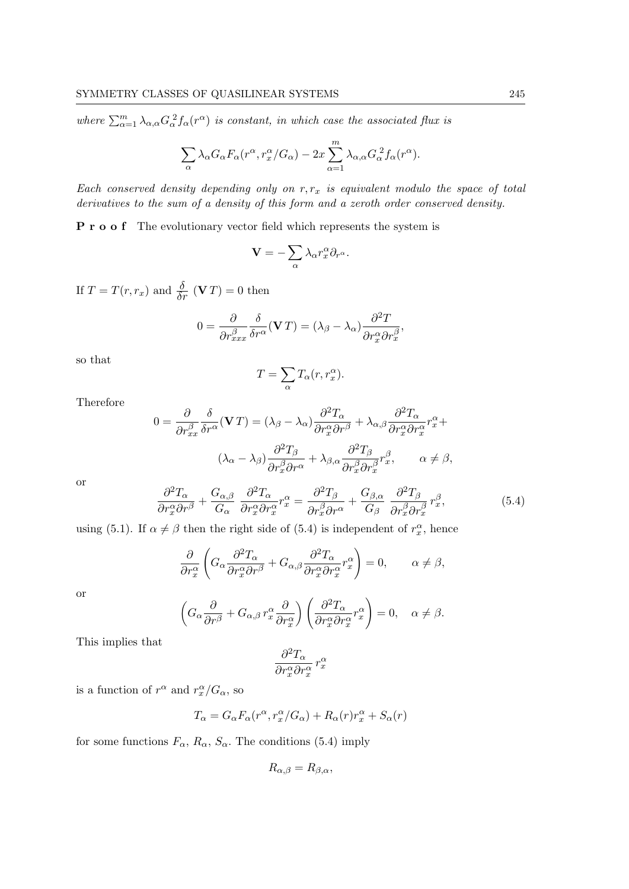where  $\sum_{\alpha=1}^{m} \lambda_{\alpha,\alpha} G_{\alpha}^2 f_{\alpha}(r^{\alpha})$  is constant, in which case the associated flux is

$$
\sum_{\alpha} \lambda_{\alpha} G_{\alpha} F_{\alpha} (r^{\alpha}, r^{\alpha}_{x}/G_{\alpha}) - 2x \sum_{\alpha=1}^{m} \lambda_{\alpha,\alpha} G_{\alpha}^{2} f_{\alpha} (r^{\alpha}).
$$

Each conserved density depending only on  $r, r_x$  is equivalent modulo the space of total derivatives to the sum of a density of this form and a zeroth order conserved density.

P r o o f The evolutionary vector field which represents the system is

$$
\mathbf{V} = -\sum_{\alpha} \lambda_{\alpha} r_x^{\alpha} \partial_{r^{\alpha}}.
$$

If  $T = T(r, r_x)$  and  $\frac{\delta}{\delta r}$  (VT) = 0 then

$$
0 = \frac{\partial}{\partial r_{xxx}^{\beta}} \frac{\delta}{\delta r^{\alpha}} (\mathbf{V}T) = (\lambda_{\beta} - \lambda_{\alpha}) \frac{\partial^{2} T}{\partial r_{x}^{\alpha} \partial r_{x}^{\beta}},
$$

so that

$$
T = \sum_{\alpha} T_{\alpha}(r, r_x^{\alpha}).
$$

Therefore

$$
0 = \frac{\partial}{\partial r_{xx}^{\beta}} \frac{\delta}{\delta r^{\alpha}} (\mathbf{V}T) = (\lambda_{\beta} - \lambda_{\alpha}) \frac{\partial^{2} T_{\alpha}}{\partial r_{x}^{\alpha} \partial r^{\beta}} + \lambda_{\alpha,\beta} \frac{\partial^{2} T_{\alpha}}{\partial r_{x}^{\alpha} \partial r_{x}^{\alpha}} r_{x}^{\alpha} +
$$

$$
(\lambda_{\alpha} - \lambda_{\beta}) \frac{\partial^{2} T_{\beta}}{\partial r_{x}^{\beta} \partial r^{\alpha}} + \lambda_{\beta,\alpha} \frac{\partial^{2} T_{\beta}}{\partial r_{x}^{\beta} \partial r_{x}^{\beta}} r_{x}^{\beta}, \qquad \alpha \neq \beta,
$$

or

$$
\frac{\partial^2 T_{\alpha}}{\partial r_{x}^{\alpha} \partial r^{\beta}} + \frac{G_{\alpha,\beta}}{G_{\alpha}} \frac{\partial^2 T_{\alpha}}{\partial r_{x}^{\alpha} \partial r_{x}^{\alpha}} r_{x}^{\alpha} = \frac{\partial^2 T_{\beta}}{\partial r_{x}^{\beta} \partial r^{\alpha}} + \frac{G_{\beta,\alpha}}{G_{\beta}} \frac{\partial^2 T_{\beta}}{\partial r_{x}^{\beta} \partial r_{x}^{\beta}} r_{x}^{\beta},
$$
(5.4)

using (5.1). If  $\alpha \neq \beta$  then the right side of (5.4) is independent of  $r_x^{\alpha}$ , hence

$$
\frac{\partial}{\partial r_x^{\alpha}} \left( G_{\alpha} \frac{\partial^2 T_{\alpha}}{\partial r_x^{\alpha} \partial r^{\beta}} + G_{\alpha,\beta} \frac{\partial^2 T_{\alpha}}{\partial r_x^{\alpha} \partial r_x^{\alpha}} r_x^{\alpha} \right) = 0, \qquad \alpha \neq \beta,
$$

or

$$
\left(G_{\alpha}\frac{\partial}{\partial r^{\beta}} + G_{\alpha,\beta} r^{\alpha}_{x} \frac{\partial}{\partial r^{\alpha}_{x}}\right) \left(\frac{\partial^{2} T_{\alpha}}{\partial r^{\alpha}_{x} \partial r^{\alpha}_{x}} r^{\alpha}_{x}\right) = 0, \quad \alpha \neq \beta.
$$

This implies that

$$
\frac{\partial^2 T_{\alpha}}{\partial r^{\alpha}_x \partial r^{\alpha}_x}\,r^{\alpha}_x
$$

is a function of  $r^{\alpha}$  and  $r^{\alpha}_{x}/G_{\alpha}$ , so

$$
T_{\alpha}=G_{\alpha}F_{\alpha}(r^{\alpha},r^{\alpha}_{x}/G_{\alpha})+R_{\alpha}(r)r^{\alpha}_{x}+S_{\alpha}(r)
$$

for some functions  $F_{\alpha}$ ,  $R_{\alpha}$ ,  $S_{\alpha}$ . The conditions (5.4) imply

$$
R_{\alpha,\beta} = R_{\beta,\alpha},
$$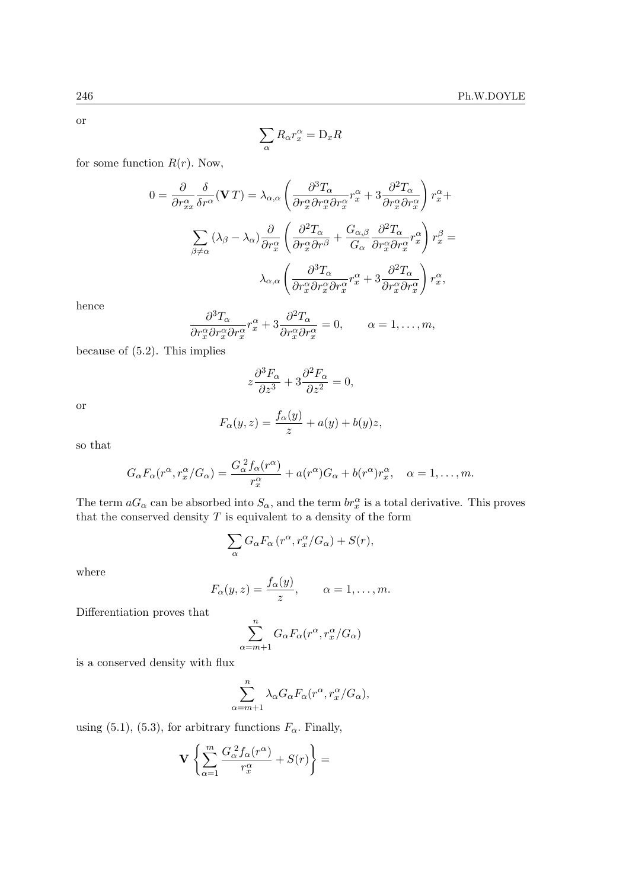or

$$
\sum_{\alpha} R_{\alpha} r_{x}^{\alpha} = \mathcal{D}_{x} R
$$

for some function  $R(r)$ . Now,

$$
0 = \frac{\partial}{\partial r_{xx}^{\alpha}} \frac{\delta}{\delta r^{\alpha}} (\mathbf{V} T) = \lambda_{\alpha,\alpha} \left( \frac{\partial^{3} T_{\alpha}}{\partial r_{x}^{\alpha} \partial r_{x}^{\alpha} \partial r_{x}^{\alpha}} r_{x}^{\alpha} + 3 \frac{\partial^{2} T_{\alpha}}{\partial r_{x}^{\alpha} \partial r_{x}^{\alpha}} \right) r_{x}^{\alpha} +
$$
  

$$
\sum_{\beta \neq \alpha} (\lambda_{\beta} - \lambda_{\alpha}) \frac{\partial}{\partial r_{x}^{\alpha}} \left( \frac{\partial^{2} T_{\alpha}}{\partial r_{x}^{\alpha} \partial r^{\beta}} + \frac{G_{\alpha,\beta}}{G_{\alpha}} \frac{\partial^{2} T_{\alpha}}{\partial r_{x}^{\alpha} \partial r_{x}^{\alpha}} r_{x}^{\alpha} \right) r_{x}^{\beta} =
$$
  

$$
\lambda_{\alpha,\alpha} \left( \frac{\partial^{3} T_{\alpha}}{\partial r_{x}^{\alpha} \partial r_{x}^{\alpha} \partial r_{x}^{\alpha}} r_{x}^{\alpha} + 3 \frac{\partial^{2} T_{\alpha}}{\partial r_{x}^{\alpha} \partial r_{x}^{\alpha}} \right) r_{x}^{\alpha},
$$

hence

$$
\frac{\partial^3 T_{\alpha}}{\partial r_x^{\alpha} \partial r_x^{\alpha} \partial r_x^{\alpha}} r_x^{\alpha} + 3 \frac{\partial^2 T_{\alpha}}{\partial r_x^{\alpha} \partial r_x^{\alpha}} = 0, \qquad \alpha = 1, \dots, m,
$$

because of (5.2). This implies

$$
z\frac{\partial^3 F_{\alpha}}{\partial z^3} + 3\frac{\partial^2 F_{\alpha}}{\partial z^2} = 0,
$$

or

$$
F_{\alpha}(y, z) = \frac{f_{\alpha}(y)}{z} + a(y) + b(y)z,
$$

so that

$$
G_{\alpha}F_{\alpha}(r^{\alpha},r_{x}^{\alpha}/G_{\alpha})=\frac{G_{\alpha}^{2}f_{\alpha}(r^{\alpha})}{r_{x}^{\alpha}}+a(r^{\alpha})G_{\alpha}+b(r^{\alpha})r_{x}^{\alpha}, \quad \alpha=1,\ldots,m.
$$

The term  $aG_{\alpha}$  can be absorbed into  $S_{\alpha}$ , and the term  $br_x^{\alpha}$  is a total derivative. This proves that the conserved density  $T$  is equivalent to a density of the form

$$
\sum_{\alpha} G_{\alpha} F_{\alpha} (r^{\alpha}, r^{\alpha}_{x}/G_{\alpha}) + S(r),
$$

where

$$
F_{\alpha}(y, z) = \frac{f_{\alpha}(y)}{z}, \qquad \alpha = 1, \ldots, m.
$$

Differentiation proves that

$$
\sum_{\alpha=m+1}^{n} G_{\alpha} F_{\alpha}(r^{\alpha}, r^{\alpha}_{x}/G_{\alpha})
$$

is a conserved density with flux

$$
\sum_{\alpha=m+1}^{n} \lambda_{\alpha} G_{\alpha} F_{\alpha} (r^{\alpha}, r_{x}^{\alpha}/G_{\alpha}),
$$

using (5.1), (5.3), for arbitrary functions  $F_{\alpha}$ . Finally,

$$
\mathbf{V} \left\{ \sum_{\alpha=1}^m \frac{G_\alpha^2 f_\alpha(r^\alpha)}{r_x^\alpha} + S(r) \right\} =
$$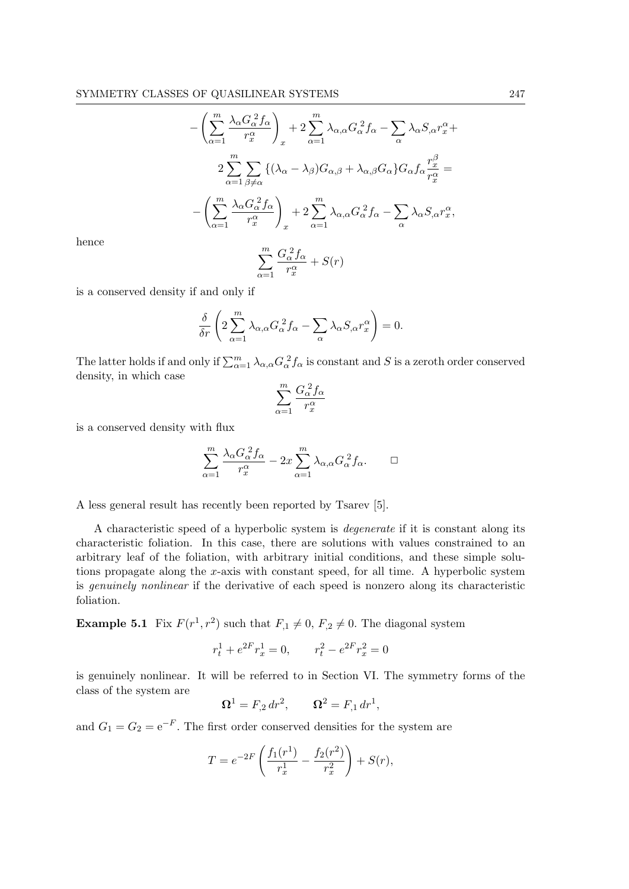$$
-\left(\sum_{\alpha=1}^{m} \frac{\lambda_{\alpha} G_{\alpha}^{2} f_{\alpha}}{r_{x}^{\alpha}}\right)_{x} + 2 \sum_{\alpha=1}^{m} \lambda_{\alpha,\alpha} G_{\alpha}^{2} f_{\alpha} - \sum_{\alpha} \lambda_{\alpha} S_{,\alpha} r_{x}^{\alpha} +
$$

$$
2 \sum_{\alpha=1}^{m} \sum_{\beta \neq \alpha} \left\{ (\lambda_{\alpha} - \lambda_{\beta}) G_{\alpha,\beta} + \lambda_{\alpha,\beta} G_{\alpha} \right\} G_{\alpha} f_{\alpha} \frac{r_{x}^{\beta}}{r_{x}^{\alpha}} =
$$

$$
-\left(\sum_{\alpha=1}^{m} \frac{\lambda_{\alpha} G_{\alpha}^{2} f_{\alpha}}{r_{x}^{\alpha}}\right)_{x} + 2 \sum_{\alpha=1}^{m} \lambda_{\alpha,\alpha} G_{\alpha}^{2} f_{\alpha} - \sum_{\alpha} \lambda_{\alpha} S_{,\alpha} r_{x}^{\alpha},
$$

$$
\sum_{\alpha=1}^{m} \frac{G_{\alpha}^{2} f_{\alpha}}{r_{x}^{\alpha}} + S(r)
$$

hence

$$
\sum_{\alpha=1}^{m} \frac{G_{\alpha}^2 f_{\alpha}}{r_x^{\alpha}} + S(r)
$$

is a conserved density if and only if

$$
\frac{\delta}{\delta r} \left( 2 \sum_{\alpha=1}^{m} \lambda_{\alpha,\alpha} G_{\alpha}^2 f_{\alpha} - \sum_{\alpha} \lambda_{\alpha} S_{,\alpha} r_{x}^{\alpha} \right) = 0.
$$

The latter holds if and only if  $\sum_{\alpha=1}^{m} \lambda_{\alpha,\alpha} G_{\alpha}^2 f_{\alpha}$  is constant and S is a zeroth order conserved density, in which case

$$
\sum_{\alpha=1}^m \frac{G_\alpha^{\;2}f_\alpha}{r_x^\alpha}
$$

is a conserved density with flux

$$
\sum_{\alpha=1}^{m} \frac{\lambda_{\alpha} G_{\alpha}^{2} f_{\alpha}}{r_{x}^{\alpha}} - 2x \sum_{\alpha=1}^{m} \lambda_{\alpha,\alpha} G_{\alpha}^{2} f_{\alpha}.\qquad \Box
$$

A less general result has recently been reported by Tsarev [5].

A characteristic speed of a hyperbolic system is degenerate if it is constant along its characteristic foliation. In this case, there are solutions with values constrained to an arbitrary leaf of the foliation, with arbitrary initial conditions, and these simple solutions propagate along the x-axis with constant speed, for all time. A hyperbolic system is genuinely nonlinear if the derivative of each speed is nonzero along its characteristic foliation.

**Example 5.1** Fix  $F(r^1, r^2)$  such that  $F_{,1} \neq 0$ ,  $F_{,2} \neq 0$ . The diagonal system

$$
r_t^1 + e^{2F}r_x^1 = 0, \qquad r_t^2 - e^{2F}r_x^2 = 0
$$

is genuinely nonlinear. It will be referred to in Section VI. The symmetry forms of the class of the system are

$$
\Omega^1 = F_{,2} dr^2, \qquad \Omega^2 = F_{,1} dr^1,
$$

and  $G_1 = G_2 = e^{-F}$ . The first order conserved densities for the system are

$$
T = e^{-2F} \left( \frac{f_1(r^1)}{r_x^1} - \frac{f_2(r^2)}{r_x^2} \right) + S(r),
$$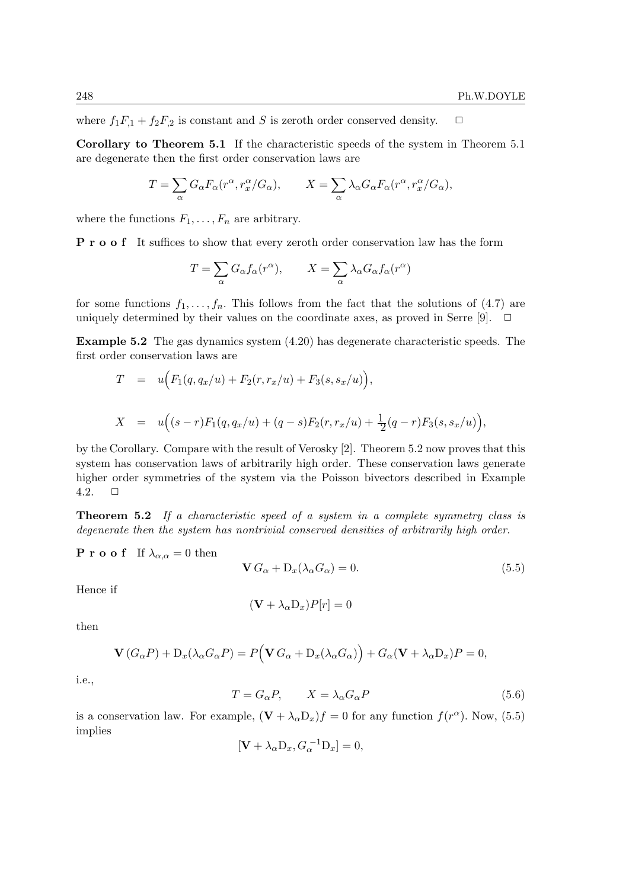where  $f_1F_{,1} + f_2F_{,2}$  is constant and S is zeroth order conserved density.  $\Box$ 

Corollary to Theorem 5.1 If the characteristic speeds of the system in Theorem 5.1 are degenerate then the first order conservation laws are

$$
T = \sum_{\alpha} G_{\alpha} F_{\alpha} (r^{\alpha}, r^{\alpha}_{x}/G_{\alpha}), \qquad X = \sum_{\alpha} \lambda_{\alpha} G_{\alpha} F_{\alpha} (r^{\alpha}, r^{\alpha}_{x}/G_{\alpha}),
$$

where the functions  $F_1, \ldots, F_n$  are arbitrary.

P r o o f It suffices to show that every zeroth order conservation law has the form

$$
T = \sum_{\alpha} G_{\alpha} f_{\alpha}(r^{\alpha}), \qquad X = \sum_{\alpha} \lambda_{\alpha} G_{\alpha} f_{\alpha}(r^{\alpha})
$$

for some functions  $f_1, \ldots, f_n$ . This follows from the fact that the solutions of (4.7) are uniquely determined by their values on the coordinate axes, as proved in Serre [9].  $\Box$ 

Example 5.2 The gas dynamics system (4.20) has degenerate characteristic speeds. The first order conservation laws are

$$
T = u(F_1(q, q_x/u) + F_2(r, r_x/u) + F_3(s, s_x/u)),
$$
  
\n
$$
X = u((s-r)F_1(q, q_x/u) + (q-s)F_2(r, r_x/u) + \frac{1}{2}(q-r)F_3(s, s_x/u)),
$$

by the Corollary. Compare with the result of Verosky [2]. Theorem 5.2 now proves that this system has conservation laws of arbitrarily high order. These conservation laws generate higher order symmetries of the system via the Poisson bivectors described in Example 4.2.  $\Box$ 

**Theorem 5.2** If a characteristic speed of a system in a complete symmetry class is degenerate then the system has nontrivial conserved densities of arbitrarily high order.

**P r o o f** If  $\lambda_{\alpha,\alpha} = 0$  then

$$
\mathbf{V} G_{\alpha} + \mathbf{D}_x (\lambda_{\alpha} G_{\alpha}) = 0. \tag{5.5}
$$

Hence if

$$
(\mathbf{V} + \lambda_{\alpha}D_x)P[r] = 0
$$

then

$$
\mathbf{V}(G_{\alpha}P) + \mathbf{D}_{x}(\lambda_{\alpha}G_{\alpha}P) = P(\mathbf{V}G_{\alpha} + \mathbf{D}_{x}(\lambda_{\alpha}G_{\alpha})) + G_{\alpha}(\mathbf{V} + \lambda_{\alpha}D_{x})P = 0,
$$

i.e.,

$$
T = G_{\alpha}P, \qquad X = \lambda_{\alpha}G_{\alpha}P \tag{5.6}
$$

is a conservation law. For example,  $(\mathbf{V} + \lambda_{\alpha} \mathbf{D}_x) f = 0$  for any function  $f(r^{\alpha})$ . Now, (5.5) implies

$$
[\mathbf{V} + \lambda_{\alpha} \mathbf{D}_x, G_{\alpha}^{-1} \mathbf{D}_x] = 0,
$$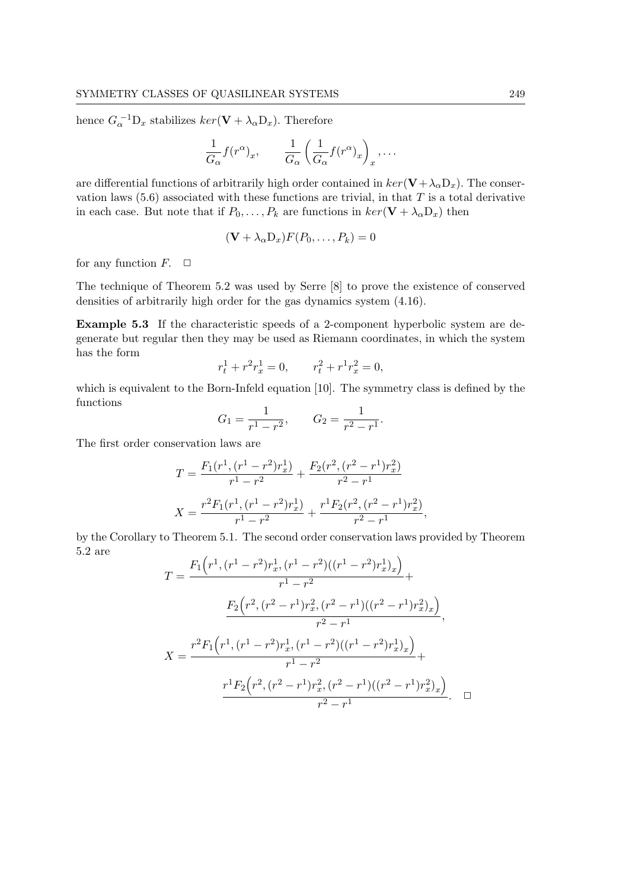hence  $G_{\alpha}^{-1}D_x$  stabilizes  $ker(\mathbf{V} + \lambda_{\alpha}D_x)$ . Therefore

$$
\frac{1}{G_{\alpha}} f(r^{\alpha})_x, \qquad \frac{1}{G_{\alpha}} \left( \frac{1}{G_{\alpha}} f(r^{\alpha})_x \right)_x, \dots
$$

are differential functions of arbitrarily high order contained in  $\ker(\mathbf{V}+\lambda_0\mathbf{D}_x)$ . The conservation laws  $(5.6)$  associated with these functions are trivial, in that T is a total derivative in each case. But note that if  $P_0, \ldots, P_k$  are functions in  $\ker(\mathbf{V} + \lambda_\alpha D_x)$  then

$$
(\mathbf{V} + \lambda_{\alpha} \mathbf{D}_x) F(P_0, \dots, P_k) = 0
$$

for any function  $F$ .  $\Box$ 

The technique of Theorem 5.2 was used by Serre [8] to prove the existence of conserved densities of arbitrarily high order for the gas dynamics system (4.16).

Example 5.3 If the characteristic speeds of a 2-component hyperbolic system are degenerate but regular then they may be used as Riemann coordinates, in which the system has the form

$$
r_t^1 + r^2 r_x^1 = 0, \qquad r_t^2 + r^1 r_x^2 = 0,
$$

which is equivalent to the Born-Infeld equation [10]. The symmetry class is defined by the functions

$$
G_1 = \frac{1}{r^1 - r^2}, \qquad G_2 = \frac{1}{r^2 - r^1}.
$$

The first order conservation laws are

$$
T = \frac{F_1(r^1, (r^1 - r^2)r_x^1)}{r^1 - r^2} + \frac{F_2(r^2, (r^2 - r^1)r_x^2)}{r^2 - r^1}
$$

$$
X = \frac{r^2 F_1(r^1, (r^1 - r^2)r_x^1)}{r^1 - r^2} + \frac{r^1 F_2(r^2, (r^2 - r^1)r_x^2)}{r^2 - r^1},
$$

by the Corollary to Theorem 5.1. The second order conservation laws provided by Theorem 5.2 are  $\ddot{\phantom{1}}$ 

$$
T = \frac{F_1(r^1, (r^1 - r^2)r_x^1, (r^1 - r^2)((r^1 - r^2)r_x^1)_x)}{r^1 - r^2} +
$$

$$
\frac{F_2(r^2, (r^2 - r^1)r_x^2, (r^2 - r^1)((r^2 - r^1)r_x^2)_x)}{r^2 - r^1},
$$

$$
X = \frac{r^2F_1(r^1, (r^1 - r^2)r_x^1, (r^1 - r^2)((r^1 - r^2)r_x^1)_x)}{r^1 - r^2} +
$$

$$
\frac{r^1F_2(r^2, (r^2 - r^1)r_x^2, (r^2 - r^1)((r^2 - r^1)r_x^2)_x)}{r^2 - r^1}.
$$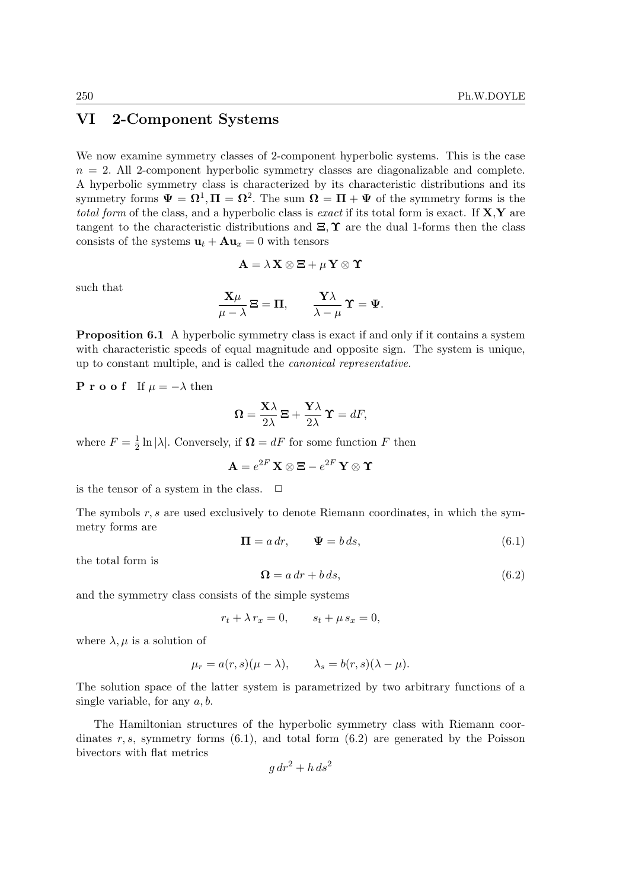# VI 2-Component Systems

We now examine symmetry classes of 2-component hyperbolic systems. This is the case  $n = 2$ . All 2-component hyperbolic symmetry classes are diagonalizable and complete. A hyperbolic symmetry class is characterized by its characteristic distributions and its symmetry forms  $\Psi = \Omega^1, \Pi = \Omega^2$ . The sum  $\Omega = \Pi + \Psi$  of the symmetry forms is the total form of the class, and a hyperbolic class is exact if its total form is exact. If  $X, Y$  are tangent to the characteristic distributions and  $\Xi$ ,  $\Upsilon$  are the dual 1-forms then the class consists of the systems  $\mathbf{u}_t + \mathbf{A}\mathbf{u}_x = 0$  with tensors

$$
\mathbf{A} = \lambda \mathbf{X} \otimes \mathbf{\Xi} + \mu \mathbf{Y} \otimes \mathbf{\Upsilon}
$$

such that

$$
\frac{\mathbf{X}\mu}{\mu-\lambda}\mathbf{\Xi}=\mathbf{\Pi},\qquad\frac{\mathbf{Y}\lambda}{\lambda-\mu}\,\mathbf{\Upsilon}=\mathbf{\Psi}.
$$

**Proposition 6.1** A hyperbolic symmetry class is exact if and only if it contains a system with characteristic speeds of equal magnitude and opposite sign. The system is unique, up to constant multiple, and is called the canonical representative.

**P r o o f** If  $\mu = -\lambda$  then

$$
\mathbf{\Omega} = \frac{\mathbf{X}\lambda}{2\lambda} \mathbf{\Xi} + \frac{\mathbf{Y}\lambda}{2\lambda} \mathbf{\Upsilon} = dF,
$$

where  $F=\frac{1}{2}$  $\frac{1}{2} \ln |\lambda|$ . Conversely, if  $\mathbf{\Omega} = dF$  for some function F then

 $\mathbf{A}=e^{2F}\,\mathbf{X}\otimes \mathbf{\Xi}-e^{2F}\,\mathbf{Y}\otimes \mathbf{\Upsilon}$ 

is the tensor of a system in the class.  $\quad \Box$ 

The symbols  $r, s$  are used exclusively to denote Riemann coordinates, in which the symmetry forms are

$$
\mathbf{\Pi} = a \, dr, \qquad \mathbf{\Psi} = b \, ds,\tag{6.1}
$$

the total form is

$$
\Omega = a dr + b ds, \tag{6.2}
$$

and the symmetry class consists of the simple systems

 $r_t + \lambda r_x = 0,$   $s_t + \mu s_x = 0,$ 

where  $\lambda, \mu$  is a solution of

$$
\mu_r = a(r,s)(\mu - \lambda), \qquad \lambda_s = b(r,s)(\lambda - \mu).
$$

The solution space of the latter system is parametrized by two arbitrary functions of a single variable, for any  $a, b$ .

The Hamiltonian structures of the hyperbolic symmetry class with Riemann coordinates r, s, symmetry forms  $(6.1)$ , and total form  $(6.2)$  are generated by the Poisson bivectors with flat metrics

$$
g\,dr^2 + h\,ds^2
$$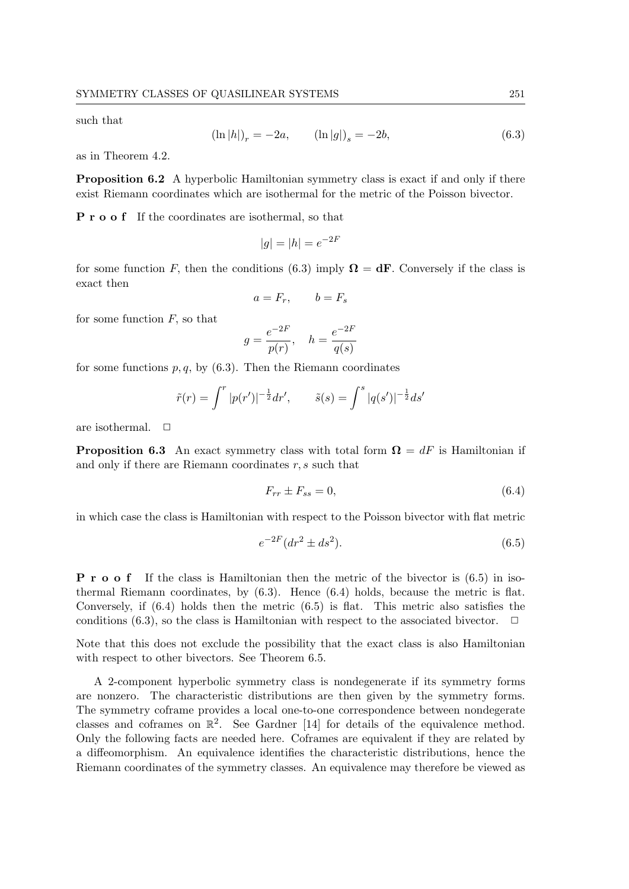such that

$$
(\ln|h|)_r = -2a, \qquad (\ln|g|)_s = -2b,\tag{6.3}
$$

as in Theorem 4.2.

Proposition 6.2 A hyperbolic Hamiltonian symmetry class is exact if and only if there exist Riemann coordinates which are isothermal for the metric of the Poisson bivector.

**P** r **o o** f If the coordinates are isothermal, so that

$$
|g| = |h| = e^{-2F}
$$

for some function F, then the conditions (6.3) imply  $\Omega = dF$ . Conversely if the class is exact then

$$
a = F_r, \qquad b = F_s
$$

for some function  $F$ , so that

$$
g = \frac{e^{-2F}}{p(r)}, \quad h = \frac{e^{-2F}}{q(s)}
$$

for some functions  $p, q$ , by (6.3). Then the Riemann coordinates

$$
\tilde{r}(r) = \int^r |p(r')|^{-\frac{1}{2}} dr', \qquad \tilde{s}(s) = \int^s |q(s')|^{-\frac{1}{2}} ds'
$$

are isothermal.  $\Box$ 

**Proposition 6.3** An exact symmetry class with total form  $\Omega = dF$  is Hamiltonian if and only if there are Riemann coordinates  $r, s$  such that

$$
F_{rr} \pm F_{ss} = 0,\t\t(6.4)
$$

in which case the class is Hamiltonian with respect to the Poisson bivector with flat metric

$$
e^{-2F}(dr^2 \pm ds^2). \tag{6.5}
$$

P r o o f If the class is Hamiltonian then the metric of the bivector is (6.5) in isothermal Riemann coordinates, by (6.3). Hence (6.4) holds, because the metric is flat. Conversely, if (6.4) holds then the metric (6.5) is flat. This metric also satisfies the conditions (6.3), so the class is Hamiltonian with respect to the associated bivector.  $\Box$ 

Note that this does not exclude the possibility that the exact class is also Hamiltonian with respect to other bivectors. See Theorem 6.5.

A 2-component hyperbolic symmetry class is nondegenerate if its symmetry forms are nonzero. The characteristic distributions are then given by the symmetry forms. The symmetry coframe provides a local one-to-one correspondence between nondegerate classes and coframes on  $\mathbb{R}^2$ . See Gardner [14] for details of the equivalence method. Only the following facts are needed here. Coframes are equivalent if they are related by a diffeomorphism. An equivalence identifies the characteristic distributions, hence the Riemann coordinates of the symmetry classes. An equivalence may therefore be viewed as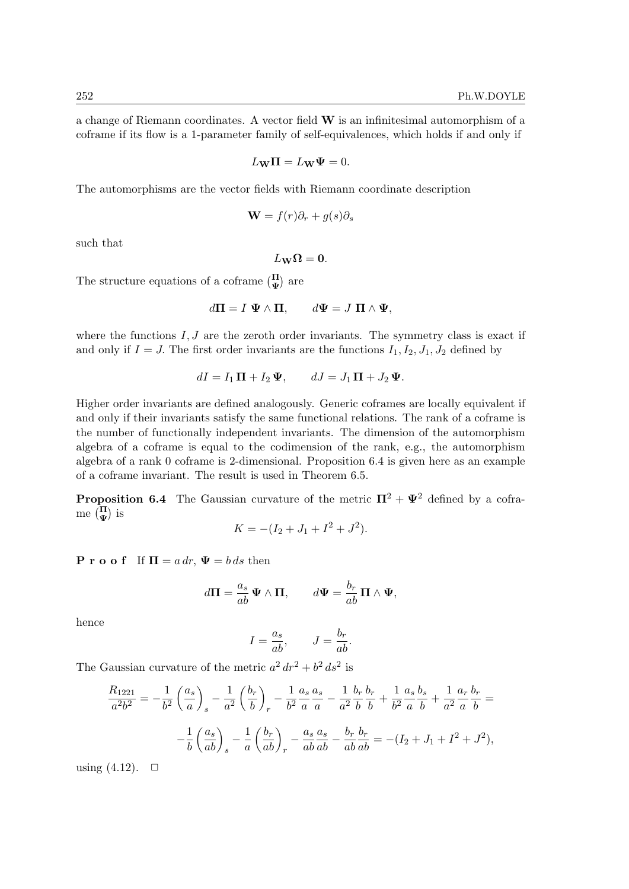a change of Riemann coordinates. A vector field W is an infinitesimal automorphism of a coframe if its flow is a 1-parameter family of self-equivalences, which holds if and only if

$$
L_{\mathbf{W}}\mathbf{\Pi} = L_{\mathbf{W}}\Psi = 0.
$$

The automorphisms are the vector fields with Riemann coordinate description

$$
\mathbf{W} = f(r)\partial_r + g(s)\partial_s
$$

such that

$$
L_{\mathbf{W}}\mathbf{\Omega}=\mathbf{0}.
$$

The structure equations of a coframe  $\begin{pmatrix} \Pi \\ \Psi \end{pmatrix}$  are

$$
d\Pi = I \ \Psi \wedge \Pi, \qquad d\Psi = J \ \Pi \wedge \Psi,
$$

where the functions  $I, J$  are the zeroth order invariants. The symmetry class is exact if and only if  $I = J$ . The first order invariants are the functions  $I_1, I_2, J_1, J_2$  defined by

$$
dI = I_1 \mathbf{\Pi} + I_2 \mathbf{\Psi}, \qquad dJ = J_1 \mathbf{\Pi} + J_2 \mathbf{\Psi}.
$$

Higher order invariants are defined analogously. Generic coframes are locally equivalent if and only if their invariants satisfy the same functional relations. The rank of a coframe is the number of functionally independent invariants. The dimension of the automorphism algebra of a coframe is equal to the codimension of the rank, e.g., the automorphism algebra of a rank 0 coframe is 2-dimensional. Proposition 6.4 is given here as an example of a coframe invariant. The result is used in Theorem 6.5.

**Proposition 6.4** The Gaussian curvature of the metric  $\Pi^2 + \Psi^2$  defined by a coframe  $\binom{\Pi}{\Psi}$  is

$$
K = -(I_2 + J_1 + I^2 + J^2).
$$

**P** r o o f If  $\Pi = a dr$ ,  $\Psi = b ds$  then

$$
d\mathbf{\Pi} = \frac{a_s}{ab} \mathbf{\Psi} \wedge \mathbf{\Pi}, \qquad d\mathbf{\Psi} = \frac{b_r}{ab} \mathbf{\Pi} \wedge \mathbf{\Psi},
$$

hence

$$
I = \frac{a_s}{ab}, \qquad J = \frac{b_r}{ab}.
$$

The Gaussian curvature of the metric  $a^2 dr^2 + b^2 ds^2$  is

$$
\frac{R_{1221}}{a^2 b^2} = -\frac{1}{b^2} \left(\frac{a_s}{a}\right)_s - \frac{1}{a^2} \left(\frac{b_r}{b}\right)_r - \frac{1}{b^2} \frac{a_s}{a} \frac{a_s}{a} - \frac{1}{a^2} \frac{b_r}{b} \frac{b_r}{b} + \frac{1}{b^2} \frac{a_s}{a} \frac{b_s}{b} + \frac{1}{a^2} \frac{a_r}{a} \frac{b_r}{b} =
$$

$$
-\frac{1}{b} \left(\frac{a_s}{ab}\right)_s - \frac{1}{a} \left(\frac{b_r}{ab}\right)_r - \frac{a_s}{ab} \frac{a_s}{ab} - \frac{b_r}{ab} \frac{b_r}{ab} = -(I_2 + J_1 + I^2 + J^2),
$$

using  $(4.12)$ .  $\Box$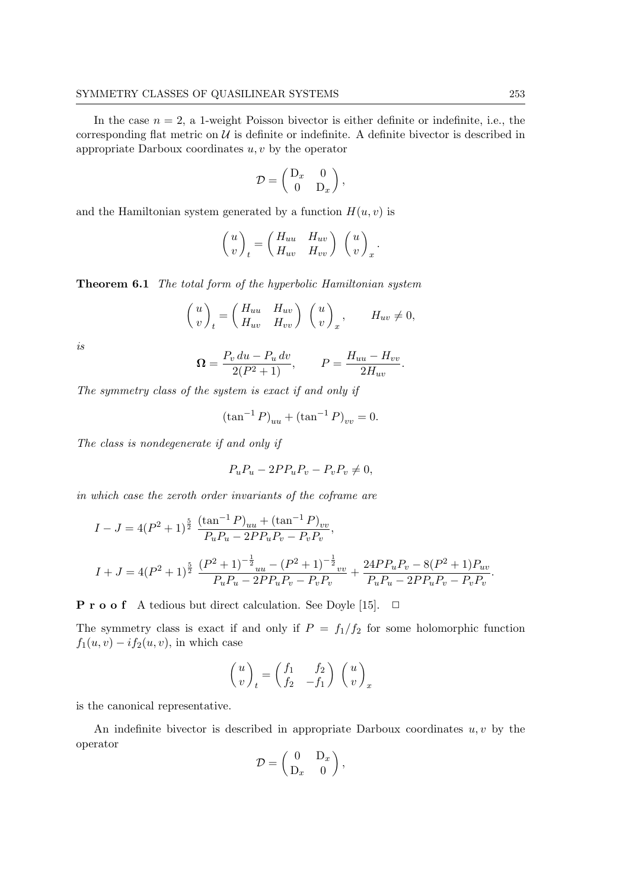In the case  $n = 2$ , a 1-weight Poisson bivector is either definite or indefinite, i.e., the corresponding flat metric on  $\mathcal{U}$  is definite or indefinite. A definite bivector is described in appropriate Darboux coordinates  $u, v$  by the operator

$$
\mathcal{D} = \begin{pmatrix} D_x & 0 \\ 0 & D_x \end{pmatrix},
$$

and the Hamiltonian system generated by a function  $H(u, v)$  is

$$
\begin{pmatrix} u \\ v \end{pmatrix}_t = \begin{pmatrix} H_{uu} & H_{uv} \\ H_{uv} & H_{vv} \end{pmatrix} \begin{pmatrix} u \\ v \end{pmatrix}_x.
$$

Theorem 6.1 The total form of the hyperbolic Hamiltonian system

$$
\begin{pmatrix} u \\ v \end{pmatrix}_t = \begin{pmatrix} H_{uu} & H_{uv} \\ H_{uv} & H_{vv} \end{pmatrix} \begin{pmatrix} u \\ v \end{pmatrix}_x, \qquad H_{uv} \neq 0,
$$

is

$$
\Omega = \frac{P_v du - P_u dv}{2(P^2 + 1)}, \qquad P = \frac{H_{uu} - H_{vv}}{2H_{uv}}.
$$

The symmetry class of the system is exact if and only if

$$
(\tan^{-1} P)_{uu} + (\tan^{-1} P)_{vv} = 0.
$$

The class is nondegenerate if and only if

$$
P_u P_u - 2P P_u P_v - P_v P_v \neq 0,
$$

in which case the zeroth order invariants of the coframe are

$$
I - J = 4(P^2 + 1)^{\frac{5}{2}} \frac{(\tan^{-1} P)_{uu} + (\tan^{-1} P)_{vv}}{P_u P_u - 2P P_u P_v - P_v P_v},
$$
  

$$
I + J = 4(P^2 + 1)^{\frac{5}{2}} \frac{(P^2 + 1)^{-\frac{1}{2}}_{uu} - (P^2 + 1)^{-\frac{1}{2}}_{vv}}{P_u P_u - 2P P_u P_v - P_v P_v} + \frac{24P P_u P_v - 8(P^2 + 1) P_{uv}}{P_u P_u - 2P P_u P_v - P_v P_v}
$$

**P r o o f** A tedious but direct calculation. See Doyle [15].  $\Box$ 

The symmetry class is exact if and only if  $P = f_1/f_2$  for some holomorphic function  $f_1(u, v) - if_2(u, v)$ , in which case

$$
\begin{pmatrix} u \\ v \end{pmatrix}_t = \begin{pmatrix} f_1 & f_2 \\ f_2 & -f_1 \end{pmatrix} \begin{pmatrix} u \\ v \end{pmatrix}_x
$$

is the canonical representative.

An indefinite bivector is described in appropriate Darboux coordinates  $u, v$  by the operator

$$
\mathcal{D} = \begin{pmatrix} 0 & D_x \\ D_x & 0 \end{pmatrix},
$$

.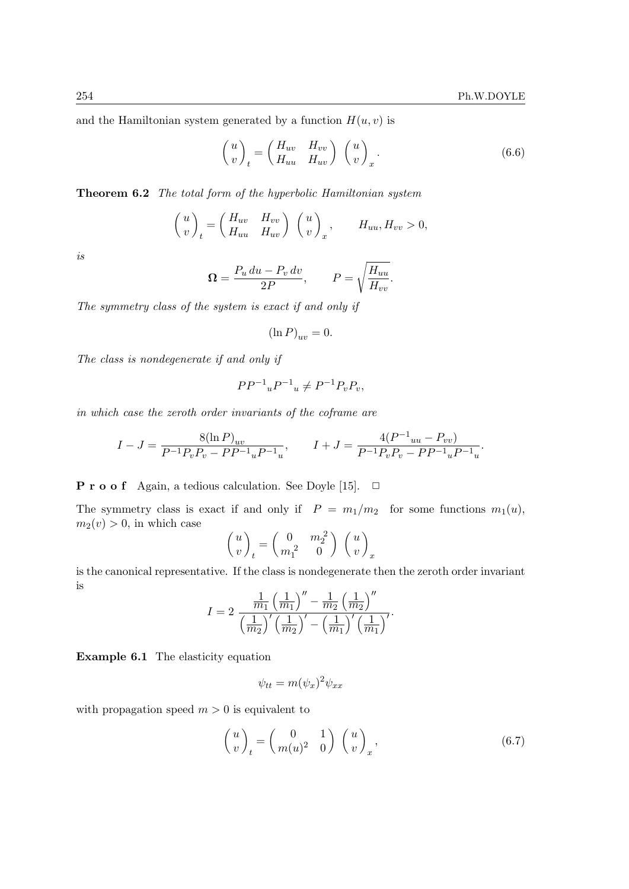and the Hamiltonian system generated by a function  $H(u, v)$  is

$$
\begin{pmatrix} u \\ v \end{pmatrix}_t = \begin{pmatrix} H_{uv} & H_{vv} \\ H_{uu} & H_{uv} \end{pmatrix} \begin{pmatrix} u \\ v \end{pmatrix}_x.
$$
 (6.6)

Theorem 6.2 The total form of the hyperbolic Hamiltonian system

$$
\begin{pmatrix} u \\ v \end{pmatrix}_t = \begin{pmatrix} H_{uv} & H_{vv} \\ H_{uu} & H_{uv} \end{pmatrix} \begin{pmatrix} u \\ v \end{pmatrix}_x, \qquad H_{uu}, H_{vv} > 0,
$$

is

$$
\Omega = \frac{P_u \, du - P_v \, dv}{2P}, \qquad P = \sqrt{\frac{H_{uu}}{H_{vv}}}.
$$

The symmetry class of the system is exact if and only if

$$
(\ln P)_{uv} = 0.
$$

The class is nondegenerate if and only if

$$
PP^{-1}{}_uP^{-1}{}_u \neq P^{-1}P_vP_v,
$$

in which case the zeroth order invariants of the coframe are

$$
I - J = \frac{8(\ln P)_{uv}}{P^{-1}P_vP_v - PP^{-1}{}_uP^{-1}{}_u}, \qquad I + J = \frac{4(P^{-1}{}_{uu} - P_{vv})}{P^{-1}P_vP_v - PP^{-1}{}_{u}P^{-1}{}_{u}}.
$$

**P r o o f** Again, a tedious calculation. See Doyle [15].  $\Box$ 

The symmetry class is exact if and only if  $P = m_1/m_2$  for some functions  $m_1(u)$ ,  $m_2(v) > 0$ , in which case

$$
\begin{pmatrix} u \\ v \end{pmatrix}_t = \begin{pmatrix} 0 & m_2^2 \\ m_1^2 & 0 \end{pmatrix} \begin{pmatrix} u \\ v \end{pmatrix}_x
$$

is the canonical representative. If the class is nondegenerate then the zeroth order invariant is

$$
I = 2 \frac{\frac{1}{m_1} \left(\frac{1}{m_1}\right)^{\prime \prime} - \frac{1}{m_2} \left(\frac{1}{m_2}\right)^{\prime \prime}}{\left(\frac{1}{m_2}\right)^{\prime} \left(\frac{1}{m_2}\right)^{\prime} - \left(\frac{1}{m_1}\right)^{\prime} \left(\frac{1}{m_1}\right)^{\prime}}.
$$

Example 6.1 The elasticity equation

$$
\psi_{tt} = m(\psi_x)^2 \psi_{xx}
$$

with propagation speed  $m > 0$  is equivalent to

$$
\begin{pmatrix} u \\ v \end{pmatrix}_t = \begin{pmatrix} 0 & 1 \\ m(u)^2 & 0 \end{pmatrix} \begin{pmatrix} u \\ v \end{pmatrix}_x, \tag{6.7}
$$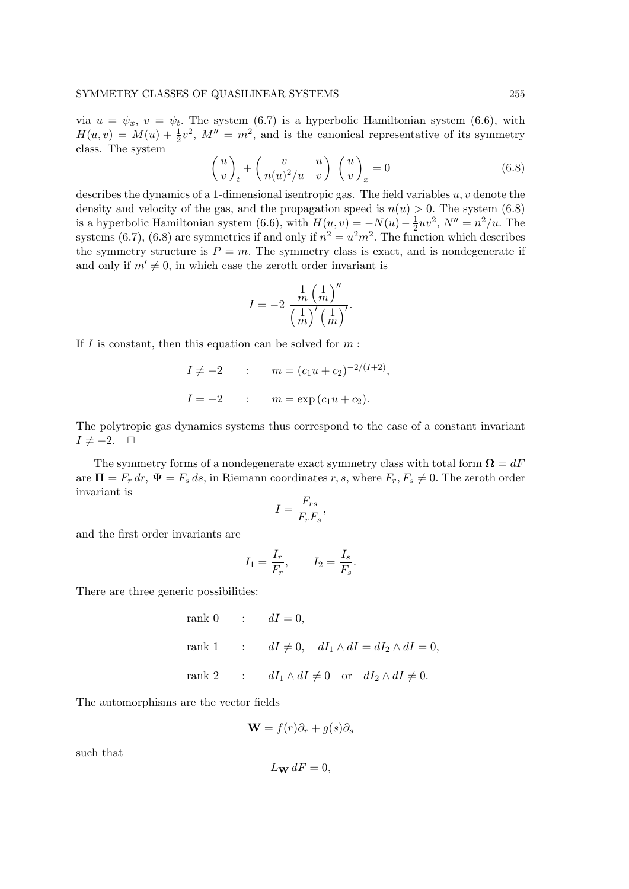via  $u = \psi_x$ ,  $v = \psi_t$ . The system (6.7) is a hyperbolic Hamiltonian system (6.6), with  $H(u, v) = M(u) + \frac{1}{2}v^2$ ,  $M'' = m^2$ , and is the canonical representative of its symmetry class. The system

$$
\begin{pmatrix} u \\ v \end{pmatrix}_t + \begin{pmatrix} v & u \\ n(u)^2/u & v \end{pmatrix} \begin{pmatrix} u \\ v \end{pmatrix}_x = 0 \tag{6.8}
$$

describes the dynamics of a 1-dimensional isentropic gas. The field variables  $u, v$  denote the density and velocity of the gas, and the propagation speed is  $n(u) > 0$ . The system (6.8) is a hyperbolic Hamiltonian system (6.6), with  $H(u, v) = -N(u) - \frac{1}{2}$  $\frac{1}{2}uv^2$ ,  $N'' = n^2/u$ . The systems (6.7), (6.8) are symmetries if and only if  $n^2 = u^2m^2$ . The function which describes the symmetry structure is  $P = m$ . The symmetry class is exact, and is nondegenerate if and only if  $m' \neq 0$ , in which case the zeroth order invariant is

$$
I = -2 \frac{\frac{1}{m} \left(\frac{1}{m}\right)^{\prime\prime}}{\left(\frac{1}{m}\right)^{\prime} \left(\frac{1}{m}\right)^{\prime}}.
$$

If  $I$  is constant, then this equation can be solved for  $m$ :

$$
I \neq -2
$$
 :  $m = (c_1u + c_2)^{-2/(I+2)}$ ,  
\n $I = -2$  :  $m = \exp(c_1u + c_2)$ .

The polytropic gas dynamics systems thus correspond to the case of a constant invariant  $I \neq -2. \quad \Box$ 

The symmetry forms of a nondegenerate exact symmetry class with total form  $\Omega = dF$ are  $\Pi = F_r dr$ ,  $\Psi = F_s ds$ , in Riemann coordinates r, s, where  $F_r$ ,  $F_s \neq 0$ . The zeroth order invariant is

$$
I = \frac{F_{rs}}{F_r F_s},
$$

and the first order invariants are

$$
I_1 = \frac{I_r}{F_r}, \qquad I_2 = \frac{I_s}{F_s}.
$$

There are three generic possibilities:

rank 0 :  $dI = 0$ , rank 1 :  $dI \neq 0$ ,  $dI_1 \wedge dI = dI_2 \wedge dI = 0$ , rank 2 :  $dI_1 \wedge dI \neq 0$  or  $dI_2 \wedge dI \neq 0$ .

The automorphisms are the vector fields

$$
\mathbf{W} = f(r)\partial_r + g(s)\partial_s
$$

such that

$$
L_{\mathbf{W}} dF = 0,
$$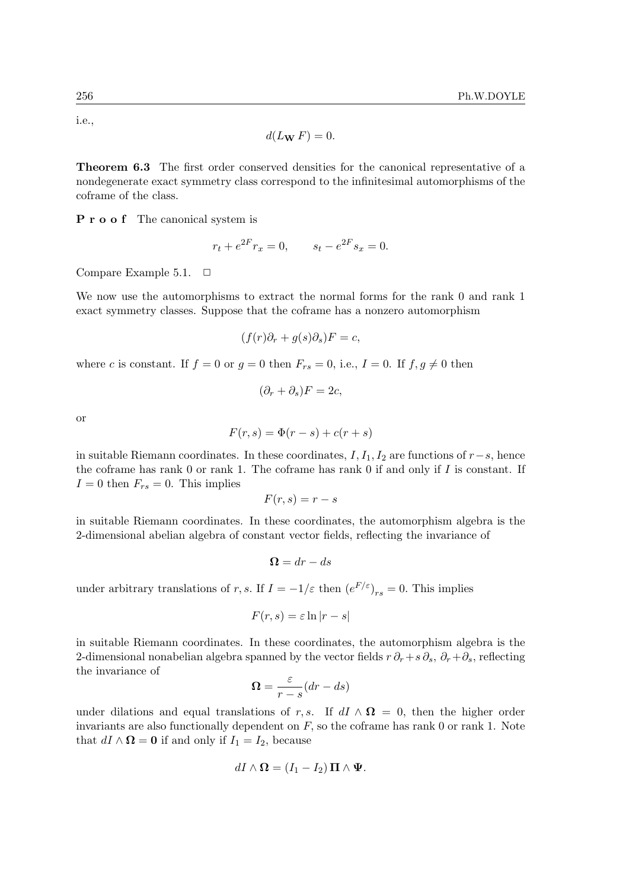i.e.,

$$
d(L_{\mathbf{W}} F) = 0.
$$

Theorem 6.3 The first order conserved densities for the canonical representative of a nondegenerate exact symmetry class correspond to the infinitesimal automorphisms of the coframe of the class.

P r o o f The canonical system is

$$
r_t + e^{2F} r_x = 0, \qquad s_t - e^{2F} s_x = 0.
$$

Compare Example 5.1.  $\Box$ 

We now use the automorphisms to extract the normal forms for the rank 0 and rank 1 exact symmetry classes. Suppose that the coframe has a nonzero automorphism

$$
(f(r)\partial_r + g(s)\partial_s)F = c,
$$

where c is constant. If  $f = 0$  or  $g = 0$  then  $F_{rs} = 0$ , i.e.,  $I = 0$ . If  $f, g \neq 0$  then

$$
(\partial_r + \partial_s)F = 2c
$$

or

$$
F(r,s) = \Phi(r-s) + c(r+s)
$$

in suitable Riemann coordinates. In these coordinates,  $I, I_1, I_2$  are functions of  $r-s$ , hence the coframe has rank  $0$  or rank  $1$ . The coframe has rank  $0$  if and only if  $I$  is constant. If  $I = 0$  then  $F_{rs} = 0$ . This implies

$$
F(r,s) = r - s
$$

in suitable Riemann coordinates. In these coordinates, the automorphism algebra is the 2-dimensional abelian algebra of constant vector fields, reflecting the invariance of

$$
\Omega = dr - ds
$$

under arbitrary translations of r, s. If  $I = -1/\varepsilon$  then  $(e^{F/\varepsilon})_{rs} = 0$ . This implies

$$
F(r,s)=\varepsilon\ln|r-s|
$$

in suitable Riemann coordinates. In these coordinates, the automorphism algebra is the 2-dimensional nonabelian algebra spanned by the vector fields  $r \partial_r + s \partial_s$ ,  $\partial_r + \partial_s$ , reflecting the invariance of

$$
\Omega = \frac{\varepsilon}{r - s} (dr - ds)
$$

under dilations and equal translations of r, s. If  $dI \wedge \mathbf{\Omega} = 0$ , then the higher order invariants are also functionally dependent on  $F$ , so the coframe has rank 0 or rank 1. Note that  $dI \wedge \mathbf{\Omega} = \mathbf{0}$  if and only if  $I_1 = I_2$ , because

$$
dI \wedge \mathbf{\Omega} = (I_1 - I_2) \, \mathbf{\Pi} \wedge \mathbf{\Psi}.
$$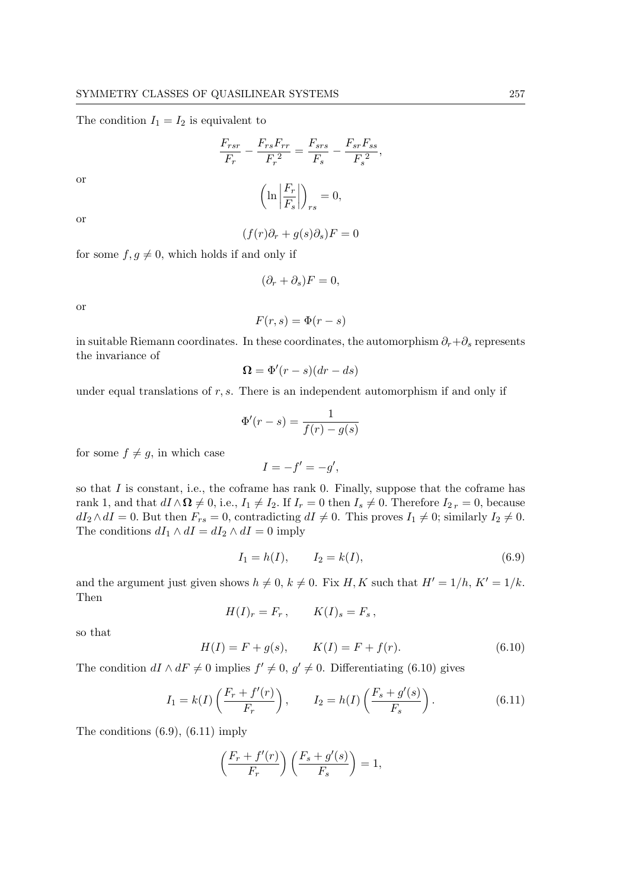The condition  $I_1 = I_2$  is equivalent to

$$
\frac{F_{rsr}}{F_r} - \frac{F_{rs}F_{rr}}{F_r^2} = \frac{F_{srs}}{F_s} - \frac{F_{sr}F_{ss}}{F_s^2},
$$

$$
\left(\ln\left|\frac{F_r}{F_s}\right|\right)_{rs} = 0,
$$

or

or

$$
(f(r)\partial_r + g(s)\partial_s)F = 0
$$

for some  $f, g \neq 0$ , which holds if and only if

$$
(\partial_r + \partial_s)F = 0,
$$

or

$$
F(r,s) = \Phi(r-s)
$$

in suitable Riemann coordinates. In these coordinates, the automorphism  $\partial_r + \partial_s$  represents the invariance of

$$
\Omega = \Phi'(r - s)(dr - ds)
$$

under equal translations of  $r, s$ . There is an independent automorphism if and only if

$$
\Phi'(r-s) = \frac{1}{f(r) - g(s)}
$$

for some  $f \neq g$ , in which case

$$
I=-f'=-g',
$$

so that  $I$  is constant, i.e., the coframe has rank 0. Finally, suppose that the coframe has rank 1, and that  $dI \wedge \mathbf{\Omega} \neq 0$ , i.e.,  $I_1 \neq I_2$ . If  $I_r = 0$  then  $I_s \neq 0$ . Therefore  $I_{2r} = 0$ , because  $dI_2 \wedge dI = 0$ . But then  $F_{rs} = 0$ , contradicting  $dI \neq 0$ . This proves  $I_1 \neq 0$ ; similarly  $I_2 \neq 0$ . The conditions  $dI_1 \wedge dI = dI_2 \wedge dI = 0$  imply

$$
I_1 = h(I), \t I_2 = k(I), \t (6.9)
$$

and the argument just given shows  $h \neq 0$ ,  $k \neq 0$ . Fix H, K such that  $H' = 1/h$ ,  $K' = 1/k$ . Then

$$
H(I)_r = F_r, \qquad K(I)_s = F_s,
$$

so that

$$
H(I) = F + g(s), \qquad K(I) = F + f(r). \tag{6.10}
$$

The condition  $dI \wedge dF \neq 0$  implies  $f' \neq 0$ ,  $g' \neq 0$ . Differentiating (6.10) gives

$$
I_1 = k(I) \left( \frac{F_r + f'(r)}{F_r} \right), \qquad I_2 = h(I) \left( \frac{F_s + g'(s)}{F_s} \right). \tag{6.11}
$$

The conditions (6.9), (6.11) imply

$$
\left(\frac{F_r + f'(r)}{F_r}\right)\left(\frac{F_s + g'(s)}{F_s}\right) = 1,
$$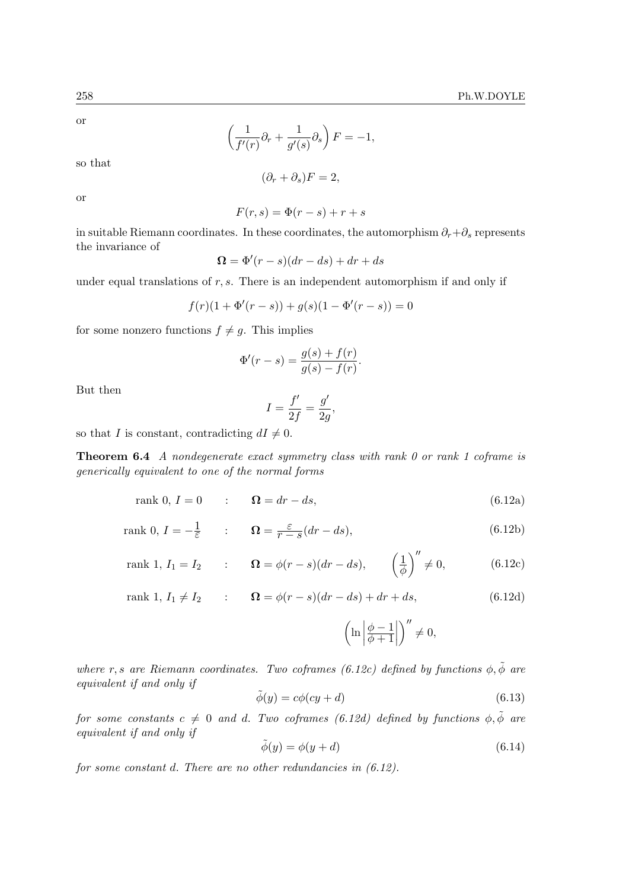$$
\left(\frac{1}{f'(r)}\partial_r + \frac{1}{g'(s)}\partial_s\right)F = -1,
$$

so that

$$
(\partial_r + \partial_s)F = 2,
$$

or

$$
F(r,s) = \Phi(r-s) + r + s
$$

in suitable Riemann coordinates. In these coordinates, the automorphism  $\partial_r + \partial_s$  represents the invariance of

$$
\Omega = \Phi'(r - s)(dr - ds) + dr + ds
$$

under equal translations of  $r, s$ . There is an independent automorphism if and only if

$$
f(r)(1 + \Phi'(r - s)) + g(s)(1 - \Phi'(r - s)) = 0
$$

for some nonzero functions  $f \neq g$ . This implies

$$
\Phi'(r - s) = \frac{g(s) + f(r)}{g(s) - f(r)}.
$$

But then

$$
I = \frac{f'}{2f} = \frac{g'}{2g},
$$

so that I is constant, contradicting  $dI \neq 0$ .

Theorem 6.4 A nondegenerate exact symmetry class with rank 0 or rank 1 coframe is generically equivalent to one of the normal forms

$$
rank 0, I = 0 \qquad : \qquad \Omega = dr - ds, \tag{6.12a}
$$

rank 0, 
$$
I = -\frac{1}{\varepsilon}
$$
 :  $\Omega = \frac{\varepsilon}{r - s} (dr - ds),$  (6.12b)

rank 1, 
$$
I_1 = I_2
$$
 :  $\mathbf{\Omega} = \phi(r - s)(dr - ds), \qquad \left(\frac{1}{\phi}\right)^{\prime\prime} \neq 0,$  (6.12c)

rank 1, 
$$
I_1 \neq I_2
$$
 :  $\Omega = \phi(r - s)(dr - ds) + dr + ds,$  (6.12d)

$$
\left(\ln\left|\frac{\phi-1}{\phi+1}\right|\right)''\neq 0,
$$

where r, s are Riemann coordinates. Two coframes (6.12c) defined by functions  $\phi$ ,  $\tilde{\phi}$  are equivalent if and only if

$$
\tilde{\phi}(y) = c\phi(cy + d) \tag{6.13}
$$

for some constants  $c \neq 0$  and d. Two coframes (6.12d) defined by functions  $\phi, \tilde{\phi}$  are equivalent if and only if

$$
\tilde{\phi}(y) = \phi(y + d) \tag{6.14}
$$

for some constant d. There are no other redundancies in  $(6.12)$ .

or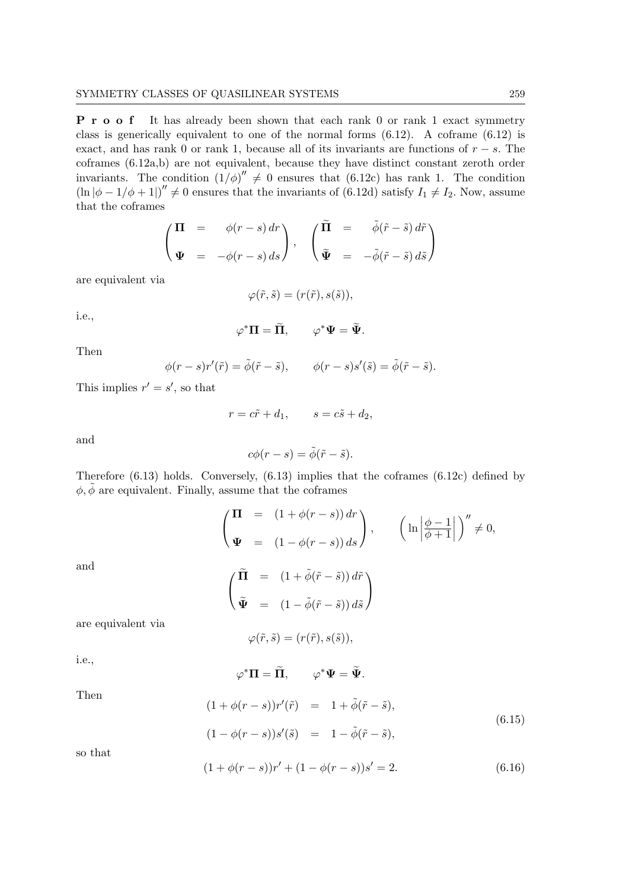P r o o f It has already been shown that each rank 0 or rank 1 exact symmetry class is generically equivalent to one of the normal forms (6.12). A coframe (6.12) is exact, and has rank 0 or rank 1, because all of its invariants are functions of  $r - s$ . The coframes (6.12a,b) are not equivalent, because they have distinct constant zeroth order invariants. The condition  $(1/\phi)'' \neq 0$  ensures that (6.12c) has rank 1. The condition  $(\ln |\phi - 1/\phi + 1|)' \neq 0$  ensures that the invariants of (6.12d) satisfy  $I_1 \neq I_2$ . Now, assume that the coframes

$$
\begin{pmatrix}\n\Pi & = & \phi(r-s) dr \\
\Psi & = & -\phi(r-s) ds\n\end{pmatrix}, \quad\n\begin{pmatrix}\n\widetilde{\Pi} & = & \widetilde{\phi}(\widetilde{r}-\widetilde{s}) d\widetilde{r} \\
\widetilde{\Psi} & = & -\widetilde{\phi}(\widetilde{r}-\widetilde{s}) d\widetilde{s}\n\end{pmatrix}
$$

are equivalent via

$$
\varphi(\tilde{r}, \tilde{s}) = (r(\tilde{r}), s(\tilde{s})),
$$

i.e.,

$$
{}^*\Pi = \widetilde{\Pi}, \qquad \varphi^* \Psi = \widetilde{\Psi}.
$$

 $\varphi$ 

Then

 $\phi(r-s)r'(\tilde{r}) = \tilde{\phi}(\tilde{r}-\tilde{s}), \qquad \phi(r-s)s'(\tilde{s}) = \tilde{\phi}(\tilde{r}-\tilde{s}).$ 

This implies  $r' = s'$ , so that

$$
r = c\tilde{r} + d_1, \qquad s = c\tilde{s} + d_2,
$$

and

$$
c\phi(r-s)=\tilde{\phi}(\tilde{r}-\tilde{s}).
$$

Therefore (6.13) holds. Conversely, (6.13) implies that the coframes (6.12c) defined by  $\phi, \tilde{\phi}$  are equivalent. Finally, assume that the coframes

$$
\begin{aligned}\n\left(\begin{array}{ccc}\n\Pi &= (1 + \phi(r - s)) dr \\
\Psi &= (1 - \phi(r - s)) ds\n\end{array}\right), \qquad \left(\ln \left|\frac{\phi - 1}{\phi + 1}\right|\right)'' \neq 0, \\
\left(\begin{array}{ccc}\n\widetilde{\Pi} &= (1 + \widetilde{\phi}(\widetilde{r} - \widetilde{s})) d\widetilde{r} \\
\Psi &= (1 - \widetilde{\phi}(\widetilde{r} - \widetilde{s})) d\widetilde{s}\n\end{array}\right)\n\end{aligned}
$$

and

are equivalent via

$$
\varphi(\tilde r,\tilde s)=(r(\tilde r),s(\tilde s)),
$$

i.e.,

$$
\varphi^*\Pi=\widetilde{\Pi},\qquad \varphi^*\Psi=\widetilde{\Psi}
$$

Then

$$
(1 + \phi(r - s))r'(\tilde{r}) = 1 + \tilde{\phi}(\tilde{r} - \tilde{s}),
$$
  
\n
$$
(1 - \phi(r - s))s'(\tilde{s}) = 1 - \tilde{\phi}(\tilde{r} - \tilde{s}),
$$
\n(6.15)

so that

$$
(1 + \phi(r - s))r' + (1 - \phi(r - s))s' = 2.
$$
\n(6.16)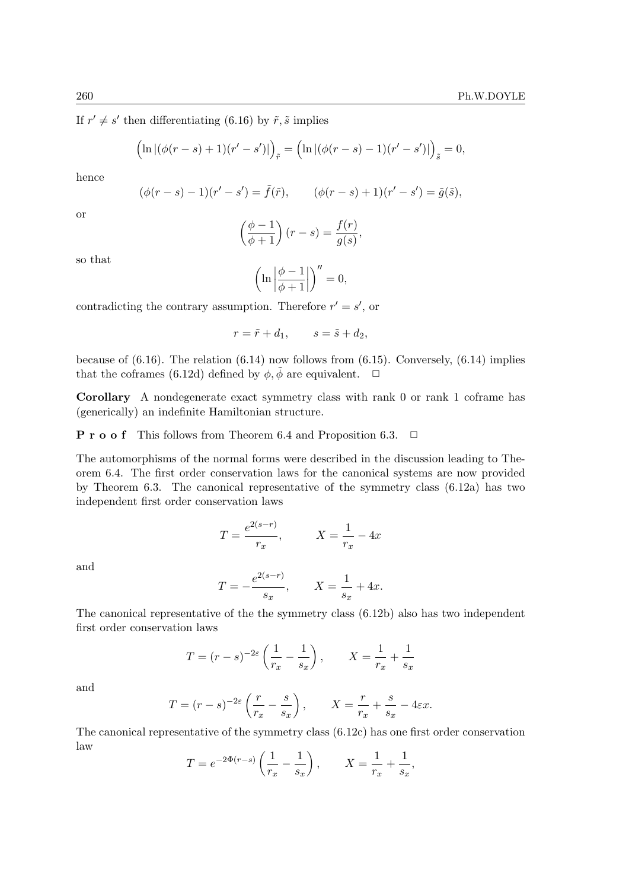If  $r' \neq s'$  then differentiating (6.16) by  $\tilde{r}, \tilde{s}$  implies

$$
(\ln |(\phi(r-s)+1)(r'-s')|)_{\tilde{r}} = (\ln |(\phi(r-s)-1)(r'-s')|)_{\tilde{s}} = 0,
$$

hence

$$
(\phi(r-s)-1)(r'-s') = \tilde{f}(\tilde{r}),
$$
  $(\phi(r-s)+1)(r'-s') = \tilde{g}(\tilde{s}),$ 

or

$$
\left(\frac{\phi-1}{\phi+1}\right)(r-s) = \frac{f(r)}{g(s)},
$$

so that

$$
\left(\ln\left|\frac{\phi-1}{\phi+1}\right|\right)''=0,
$$

contradicting the contrary assumption. Therefore  $r' = s'$ , or

$$
r = \tilde{r} + d_1, \qquad s = \tilde{s} + d_2,
$$

because of  $(6.16)$ . The relation  $(6.14)$  now follows from  $(6.15)$ . Conversely,  $(6.14)$  implies that the coframes (6.12d) defined by  $\phi$ ,  $\tilde{\phi}$  are equivalent.  $\Box$ 

Corollary A nondegenerate exact symmetry class with rank 0 or rank 1 coframe has (generically) an indefinite Hamiltonian structure.

**P** r **o o** f This follows from Theorem 6.4 and Proposition 6.3.  $\Box$ 

The automorphisms of the normal forms were described in the discussion leading to Theorem 6.4. The first order conservation laws for the canonical systems are now provided by Theorem 6.3. The canonical representative of the symmetry class (6.12a) has two independent first order conservation laws

$$
T = \frac{e^{2(s-r)}}{r_x}, \qquad X = \frac{1}{r_x} - 4x
$$

and

$$
T = -\frac{e^{2(s-r)}}{s_x}, \qquad X = \frac{1}{s_x} + 4x.
$$

The canonical representative of the the symmetry class (6.12b) also has two independent first order conservation laws

$$
T = (r - s)^{-2\varepsilon} \left(\frac{1}{r_x} - \frac{1}{s_x}\right), \qquad X = \frac{1}{r_x} + \frac{1}{s_x}
$$

and

$$
T = (r - s)^{-2\varepsilon} \left(\frac{r}{r_x} - \frac{s}{s_x}\right), \qquad X = \frac{r}{r_x} + \frac{s}{s_x} - 4\varepsilon x.
$$

The canonical representative of the symmetry class (6.12c) has one first order conservation law

$$
T = e^{-2\Phi(r-s)} \left( \frac{1}{r_x} - \frac{1}{s_x} \right), \qquad X = \frac{1}{r_x} + \frac{1}{s_x},
$$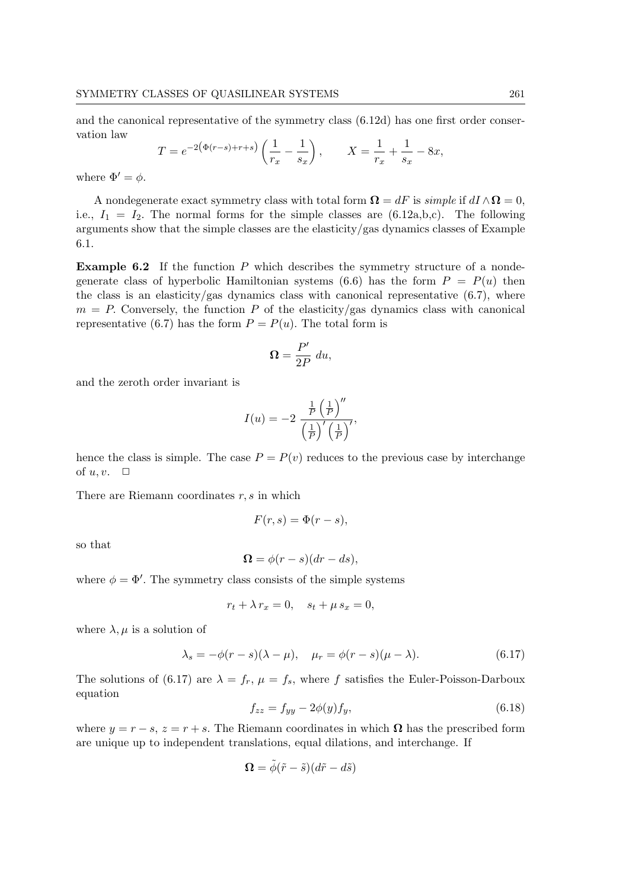and the canonical representative of the symmetry class (6.12d) has one first order conservation law

$$
T = e^{-2(\Phi(r-s) + r+s)} \left( \frac{1}{r_x} - \frac{1}{s_x} \right), \qquad X = \frac{1}{r_x} + \frac{1}{s_x} - 8x,
$$

where  $\Phi' = \phi$ .

A nondegenerate exact symmetry class with total form  $\Omega = dF$  is simple if  $dI \wedge \Omega = 0$ , i.e.,  $I_1 = I_2$ . The normal forms for the simple classes are (6.12a,b,c). The following arguments show that the simple classes are the elasticity/gas dynamics classes of Example 6.1.

**Example 6.2** If the function  $P$  which describes the symmetry structure of a nondegenerate class of hyperbolic Hamiltonian systems (6.6) has the form  $P = P(u)$  then the class is an elasticity/gas dynamics class with canonical representative  $(6.7)$ , where  $m = P$ . Conversely, the function P of the elasticity/gas dynamics class with canonical representative (6.7) has the form  $P = P(u)$ . The total form is

$$
\Omega = \frac{P'}{2P} \ du,
$$

and the zeroth order invariant is

$$
I(u) = -2 \frac{\frac{1}{P} \left(\frac{1}{P}\right)^{\prime\prime}}{\left(\frac{1}{P}\right)^{\prime} \left(\frac{1}{P}\right)^{\prime}},
$$

hence the class is simple. The case  $P = P(v)$  reduces to the previous case by interchange of  $u, v$ .  $\Box$ 

There are Riemann coordinates  $r, s$  in which

$$
F(r,s) = \Phi(r-s),
$$

so that

$$
\Omega = \phi(r - s)(dr - ds),
$$

where  $\phi = \Phi'$ . The symmetry class consists of the simple systems

$$
r_t + \lambda r_x = 0, \quad s_t + \mu s_x = 0,
$$

where  $\lambda, \mu$  is a solution of

$$
\lambda_s = -\phi(r - s)(\lambda - \mu), \quad \mu_r = \phi(r - s)(\mu - \lambda). \tag{6.17}
$$

The solutions of (6.17) are  $\lambda = f_r$ ,  $\mu = f_s$ , where f satisfies the Euler-Poisson-Darboux equation

$$
f_{zz} = f_{yy} - 2\phi(y)f_y,\tag{6.18}
$$

where  $y = r - s$ ,  $z = r + s$ . The Riemann coordinates in which  $\Omega$  has the prescribed form are unique up to independent translations, equal dilations, and interchange. If

$$
\mathbf{\Omega} = \tilde{\phi}(\tilde{r} - \tilde{s})(d\tilde{r} - d\tilde{s})
$$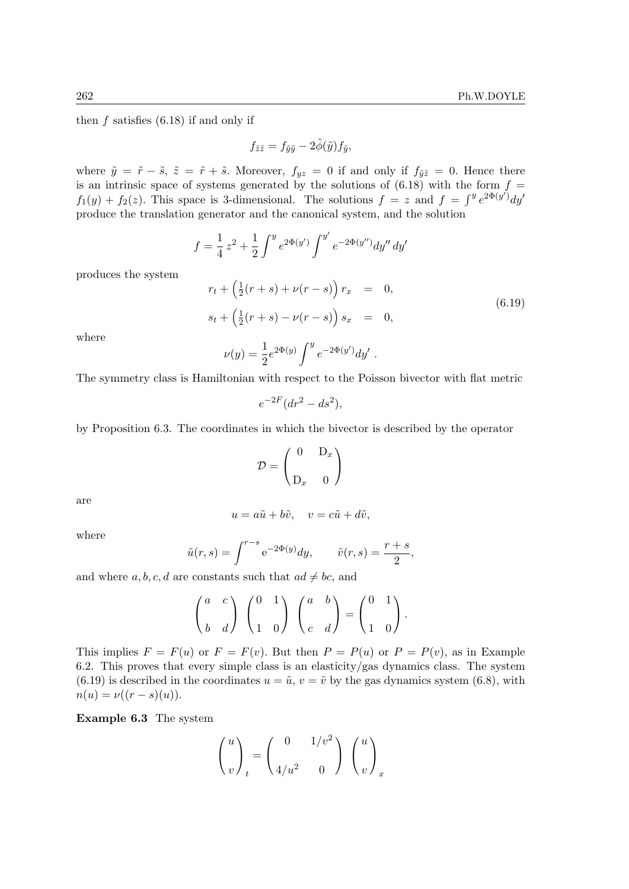then  $f$  satisfies  $(6.18)$  if and only if

$$
f_{\tilde{z}\tilde{z}} = f_{\tilde{y}\tilde{y}} - 2\tilde{\phi}(\tilde{y})f_{\tilde{y}},
$$

where  $\tilde{y} = \tilde{r} - \tilde{s}$ ,  $\tilde{z} = \tilde{r} + \tilde{s}$ . Moreover,  $f_{yz} = 0$  if and only if  $f_{\tilde{y}\tilde{z}} = 0$ . Hence there is an intrinsic space of systems generated by the solutions of  $(6.18)$  with the form  $f =$  $f_1(y) + f_2(z)$ . This space is 3-dimensional. The solutions  $f = z$  and  $f = \int^y e^{2\Phi(y')} dy'$ produce the translation generator and the canonical system, and the solution

$$
f = \frac{1}{4}z^2 + \frac{1}{2}\int^y e^{2\Phi(y')} \int^{y'} e^{-2\Phi(y'')} dy'' dy'
$$

produces the system

$$
r_t + \left(\frac{1}{2}(r+s) + \nu(r-s)\right)r_x = 0,
$$
  
\n
$$
s_t + \left(\frac{1}{2}(r+s) - \nu(r-s)\right)s_x = 0,
$$
  
\n(6.19)

where

$$
\nu(y) = \frac{1}{2} e^{2\Phi(y)} \int^y e^{-2\Phi(y')} dy' .
$$

The symmetry class is Hamiltonian with respect to the Poisson bivector with flat metric

$$
e^{-2F}(dr^2 - ds^2),
$$

by Proposition 6.3. The coordinates in which the bivector is described by the operator

$$
\mathcal{D} = \begin{pmatrix} 0 & D_x \\ D_x & 0 \end{pmatrix}
$$

are

$$
u = a\tilde{u} + b\tilde{v}, \quad v = c\tilde{u} + d\tilde{v},
$$

where

$$
\tilde{u}(r,s) = \int^{r-s} e^{-2\Phi(y)} dy, \qquad \tilde{v}(r,s) = \frac{r+s}{2},
$$

and where  $a, b, c, d$  are constants such that  $ad \neq bc$ , and

$$
\begin{pmatrix} a & c \\ b & d \end{pmatrix} \begin{pmatrix} 0 & 1 \\ 1 & 0 \end{pmatrix} \begin{pmatrix} a & b \\ c & d \end{pmatrix} = \begin{pmatrix} 0 & 1 \\ 1 & 0 \end{pmatrix}.
$$

This implies  $F = F(u)$  or  $F = F(v)$ . But then  $P = P(u)$  or  $P = P(v)$ , as in Example 6.2. This proves that every simple class is an elasticity/gas dynamics class. The system (6.19) is described in the coordinates  $u = \tilde{u}$ ,  $v = \tilde{v}$  by the gas dynamics system (6.8), with  $n(u) = \nu((r - s)(u)).$ 

Example 6.3 The system

$$
\binom{u}{v}_t = \binom{0 & 1/v^2}{4/u^2 & 0} \binom{u}{v}_x
$$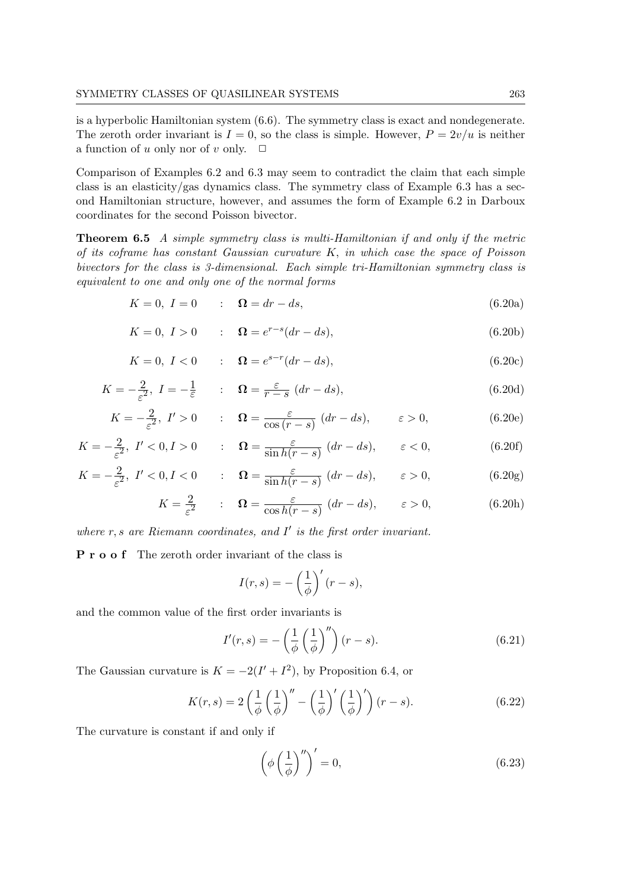is a hyperbolic Hamiltonian system (6.6). The symmetry class is exact and nondegenerate. The zeroth order invariant is  $I = 0$ , so the class is simple. However,  $P = 2v/u$  is neither a function of u only nor of v only.  $\Box$ 

Comparison of Examples 6.2 and 6.3 may seem to contradict the claim that each simple class is an elasticity/gas dynamics class. The symmetry class of Example 6.3 has a second Hamiltonian structure, however, and assumes the form of Example 6.2 in Darboux coordinates for the second Poisson bivector.

Theorem 6.5 A simple symmetry class is multi-Hamiltonian if and only if the metric of its coframe has constant Gaussian curvature  $K$ , in which case the space of Poisson bivectors for the class is 3-dimensional. Each simple tri-Hamiltonian symmetry class is equivalent to one and only one of the normal forms

$$
K = 0, I = 0 \qquad : \quad \Omega = dr - ds,\tag{6.20a}
$$

$$
K = 0, I > 0 \qquad : \quad \Omega = e^{r-s} (dr - ds), \tag{6.20b}
$$

$$
K = 0, I < 0 \qquad : \quad \Omega = e^{s-r} (dr - ds), \tag{6.20c}
$$

$$
K = -\frac{2}{\varepsilon^2}, \ I = -\frac{1}{\varepsilon} \qquad : \quad \Omega = \frac{\varepsilon}{r - s} \ (dr - ds), \tag{6.20d}
$$

$$
K = -\frac{2}{\varepsilon^2}, \quad I' > 0 \qquad : \quad \Omega = \frac{\varepsilon}{\cos\left(r - s\right)} \left(dr - ds\right), \qquad \varepsilon > 0,\tag{6.20e}
$$

$$
K = -\frac{2}{\varepsilon^2}, \ I' < 0, I > 0 \qquad : \quad \Omega = \frac{\varepsilon}{\sin h(r - s)} \ (dr - ds), \qquad \varepsilon < 0,\tag{6.20f}
$$

$$
K = -\frac{2}{\varepsilon^2}, \ I' < 0, I < 0 \qquad : \quad \Omega = \frac{\varepsilon}{\sin h(r - s)} \ (dr - ds), \qquad \varepsilon > 0,\tag{6.20g}
$$

$$
K = \frac{2}{\varepsilon^2} \qquad : \quad \Omega = \frac{\varepsilon}{\cos h(r - s)} \ (dr - ds), \qquad \varepsilon > 0,
$$
 (6.20h)

where  $r, s$  are Riemann coordinates, and  $I'$  is the first order invariant.

P r o o f The zeroth order invariant of the class is

$$
I(r,s) = -\left(\frac{1}{\phi}\right)'(r-s),
$$

and the common value of the first order invariants is

$$
I'(r,s) = -\left(\frac{1}{\phi} \left(\frac{1}{\phi}\right)''\right)(r-s).
$$
\n(6.21)

The Gaussian curvature is  $K = -2(I' + I^2)$ , by Proposition 6.4, or

$$
K(r,s) = 2\left(\frac{1}{\phi}\left(\frac{1}{\phi}\right)'' - \left(\frac{1}{\phi}\right)'\left(\frac{1}{\phi}\right)'\right)(r-s).
$$
 (6.22)

The curvature is constant if and only if

$$
\left(\phi\left(\frac{1}{\phi}\right)^{\prime\prime}\right)' = 0,\tag{6.23}
$$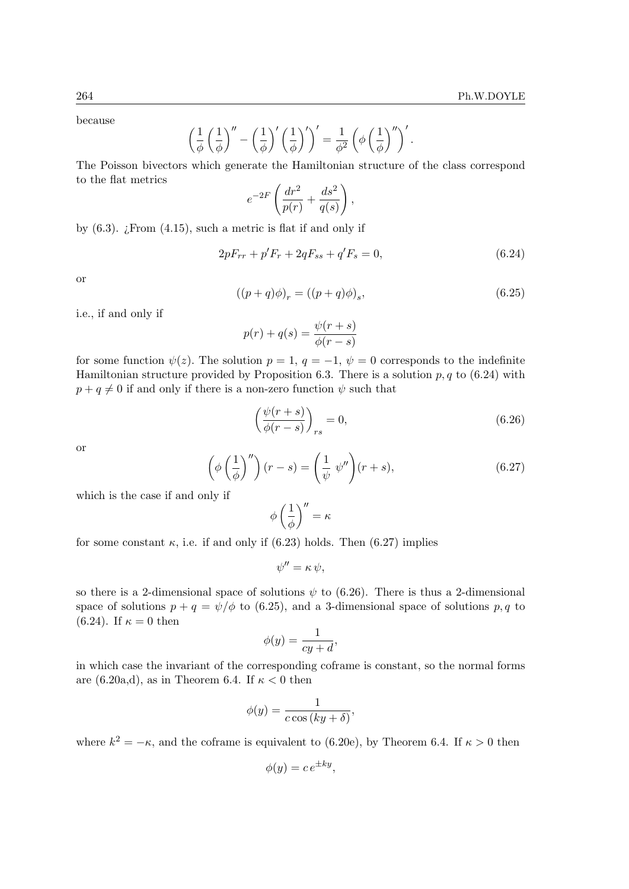because

$$
\left(\frac{1}{\phi}\left(\frac{1}{\phi}\right)'' - \left(\frac{1}{\phi}\right)'\left(\frac{1}{\phi}\right)'\right)' = \frac{1}{\phi^2} \left(\phi\left(\frac{1}{\phi}\right)''\right)'
$$

The Poisson bivectors which generate the Hamiltonian structure of the class correspond to the flat metrics

$$
e^{-2F}\left(\frac{dr^2}{p(r)}+\frac{ds^2}{q(s)}\right),\,
$$

by  $(6.3)$ . *i*. From  $(4.15)$ , such a metric is flat if and only if

$$
2pF_{rr} + p'F_r + 2qF_{ss} + q'F_s = 0,
$$
\n(6.24)

or

$$
((p+q)\phi)_r = ((p+q)\phi)_s,\tag{6.25}
$$

i.e., if and only if

$$
p(r) + q(s) = \frac{\psi(r+s)}{\phi(r-s)}
$$

for some function  $\psi(z)$ . The solution  $p = 1, q = -1, \psi = 0$  corresponds to the indefinite Hamiltonian structure provided by Proposition 6.3. There is a solution  $p, q$  to (6.24) with  $p + q \neq 0$  if and only if there is a non-zero function  $\psi$  such that

$$
\left(\frac{\psi(r+s)}{\phi(r-s)}\right)_{rs} = 0,\tag{6.26}
$$

or

$$
\left(\phi\left(\frac{1}{\phi}\right)''\right)(r-s) = \left(\frac{1}{\psi}\ \psi''\right)(r+s),\tag{6.27}
$$

which is the case if and only if

$$
\phi\left(\frac{1}{\phi}\right)^{\prime\prime}=\kappa
$$

for some constant  $\kappa$ , i.e. if and only if (6.23) holds. Then (6.27) implies

$$
\psi'' = \kappa \, \psi,
$$

so there is a 2-dimensional space of solutions  $\psi$  to (6.26). There is thus a 2-dimensional space of solutions  $p + q = \psi/\phi$  to (6.25), and a 3-dimensional space of solutions p, q to (6.24). If  $\kappa = 0$  then

$$
\phi(y) = \frac{1}{cy + d},
$$

in which case the invariant of the corresponding coframe is constant, so the normal forms are (6.20a,d), as in Theorem 6.4. If  $\kappa < 0$  then

$$
\phi(y) = \frac{1}{c \cos(ky + \delta)},
$$

where  $k^2 = -\kappa$ , and the coframe is equivalent to (6.20e), by Theorem 6.4. If  $\kappa > 0$  then

$$
\phi(y) = c \, e^{\pm ky},
$$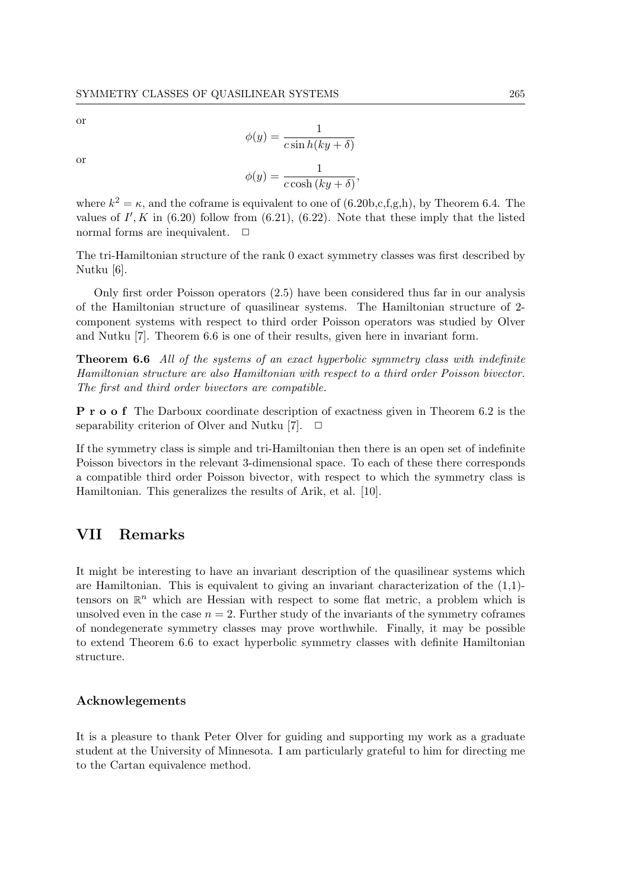or

or

$$
\phi(y) = \frac{1}{c \sin h (ky + \delta)}
$$

$$
\phi(y) = \frac{1}{\sqrt{(\cos^2 y)^2}}
$$

$$
(y) = \frac{1}{c \cosh(ky + \delta)},
$$

where  $k^2 = \kappa$ , and the coframe is equivalent to one of (6.20b,c,f,g,h), by Theorem 6.4. The values of  $I', K$  in (6.20) follow from (6.21), (6.22). Note that these imply that the listed normal forms are inequivalent.  $\Box$ 

The tri-Hamiltonian structure of the rank 0 exact symmetry classes was first described by Nutku [6].

Only first order Poisson operators (2.5) have been considered thus far in our analysis of the Hamiltonian structure of quasilinear systems. The Hamiltonian structure of 2 component systems with respect to third order Poisson operators was studied by Olver and Nutku [7]. Theorem 6.6 is one of their results, given here in invariant form.

**Theorem 6.6** All of the systems of an exact hyperbolic symmetry class with indefinite Hamiltonian structure are also Hamiltonian with respect to a third order Poisson bivector. The first and third order bivectors are compatible.

P r o o f The Darboux coordinate description of exactness given in Theorem 6.2 is the separability criterion of Olver and Nutku [7].  $\Box$ 

If the symmetry class is simple and tri-Hamiltonian then there is an open set of indefinite Poisson bivectors in the relevant 3-dimensional space. To each of these there corresponds a compatible third order Poisson bivector, with respect to which the symmetry class is Hamiltonian. This generalizes the results of Arik, et al. [10].

# VII Remarks

It might be interesting to have an invariant description of the quasilinear systems which are Hamiltonian. This is equivalent to giving an invariant characterization of the (1,1) tensors on  $\mathbb{R}^n$  which are Hessian with respect to some flat metric, a problem which is unsolved even in the case  $n = 2$ . Further study of the invariants of the symmetry coframes of nondegenerate symmetry classes may prove worthwhile. Finally, it may be possible to extend Theorem 6.6 to exact hyperbolic symmetry classes with definite Hamiltonian structure.

### Acknowlegements

It is a pleasure to thank Peter Olver for guiding and supporting my work as a graduate student at the University of Minnesota. I am particularly grateful to him for directing me to the Cartan equivalence method.